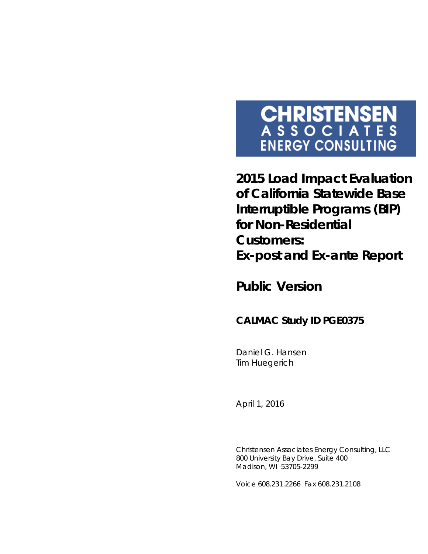# **CHRISTENSEN**<br>ASSOCIATES **ENERGY CONSULTING**

**2015 Load Impact Evaluation of California Statewide Base Interruptible Programs (BIP) for Non-Residential Customers:**  *Ex-post* **and** *Ex-ante* **Report**

*Public Version*

### **CALMAC Study ID PGE0375**

Daniel G. Hansen Tim Huegerich

*April 1, 2016*

Christensen Associates Energy Consulting, LLC 800 University Bay Drive, Suite 400 Madison, WI 53705-2299

Voice 608.231.2266 Fax 608.231.2108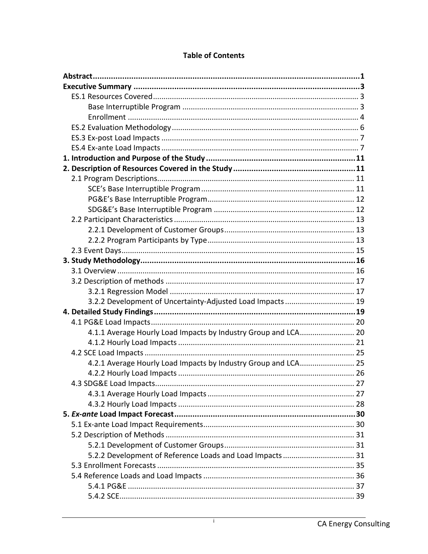| 3.2.2 Development of Uncertainty-Adjusted Load Impacts 19      |  |
|----------------------------------------------------------------|--|
|                                                                |  |
|                                                                |  |
| 4.1.1 Average Hourly Load Impacts by Industry Group and LCA 20 |  |
|                                                                |  |
|                                                                |  |
| 4.2.1 Average Hourly Load Impacts by Industry Group and LCA 25 |  |
|                                                                |  |
|                                                                |  |
|                                                                |  |
|                                                                |  |
|                                                                |  |
|                                                                |  |
|                                                                |  |
|                                                                |  |
| 5.2.2 Development of Reference Loads and Load Impacts 31       |  |
|                                                                |  |
|                                                                |  |
|                                                                |  |
|                                                                |  |

#### **Table of Contents**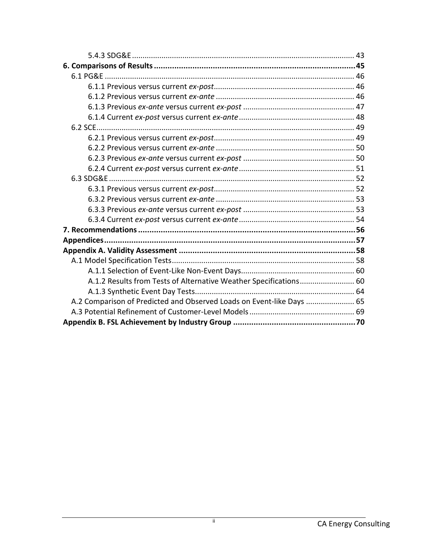| A.1.2 Results from Tests of Alternative Weather Specifications 60     |  |
|-----------------------------------------------------------------------|--|
|                                                                       |  |
| A.2 Comparison of Predicted and Observed Loads on Event-like Days  65 |  |
|                                                                       |  |
|                                                                       |  |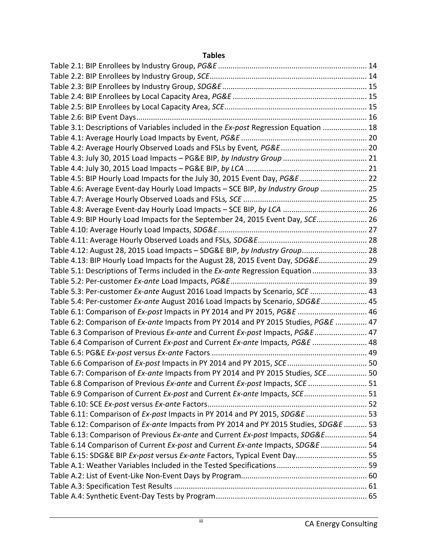#### **Tables**

| Table 3.1: Descriptions of Variables included in the Ex-post Regression Equation  18  |  |
|---------------------------------------------------------------------------------------|--|
|                                                                                       |  |
|                                                                                       |  |
|                                                                                       |  |
|                                                                                       |  |
| Table 4.5: BIP Hourly Load Impacts for the July 30, 2015 Event Day, PG&E  22          |  |
| Table 4.6: Average Event-day Hourly Load Impacts - SCE BIP, by Industry Group  25     |  |
|                                                                                       |  |
|                                                                                       |  |
| Table 4.9: BIP Hourly Load Impacts for the September 24, 2015 Event Day, SCE 26       |  |
|                                                                                       |  |
|                                                                                       |  |
| Table 4.12: August 28, 2015 Load Impacts - SDG&E BIP, by Industry Group 28            |  |
| Table 4.13: BIP Hourly Load Impacts for the August 28, 2015 Event Day, SDG&E 29       |  |
| Table 5.1: Descriptions of Terms included in the Ex-ante Regression Equation  33      |  |
|                                                                                       |  |
| Table 5.3: Per-customer Ex-ante August 2016 Load Impacts by Scenario, SCE  43         |  |
| Table 5.4: Per-customer Ex-ante August 2016 Load Impacts by Scenario, SDG&E 45        |  |
| Table 6.1: Comparison of Ex-post Impacts in PY 2014 and PY 2015, PG&E  46             |  |
| Table 6.2: Comparison of Ex-ante Impacts from PY 2014 and PY 2015 Studies, PG&E  47   |  |
| Table 6.3 Comparison of Previous Ex-ante and Current Ex-post Impacts, PG&E 47         |  |
| Table 6.4 Comparison of Current Ex-post and Current Ex-ante Impacts, PG&E  48         |  |
|                                                                                       |  |
|                                                                                       |  |
| Table 6.7: Comparison of Ex-ante Impacts from PY 2014 and PY 2015 Studies, SCE 50     |  |
| Table 6.8 Comparison of Previous Ex-ante and Current Ex-post Impacts, SCE  51         |  |
| Table 6.9 Comparison of Current Ex-post and Current Ex-ante Impacts, SCE 51           |  |
|                                                                                       |  |
| Table 6.11: Comparison of Ex-post Impacts in PY 2014 and PY 2015, SDG&E  53           |  |
| Table 6.12: Comparison of Ex-ante Impacts from PY 2014 and PY 2015 Studies, SDG&E  53 |  |
| Table 6.13: Comparison of Previous Ex-ante and Current Ex-post Impacts, SDG&E 54      |  |
| Table 6.14 Comparison of Current Ex-post and Current Ex-ante Impacts, SDG&E  54       |  |
| Table 6.15: SDG&E BIP Ex-post versus Ex-ante Factors, Typical Event Day 55            |  |
|                                                                                       |  |
|                                                                                       |  |
|                                                                                       |  |
|                                                                                       |  |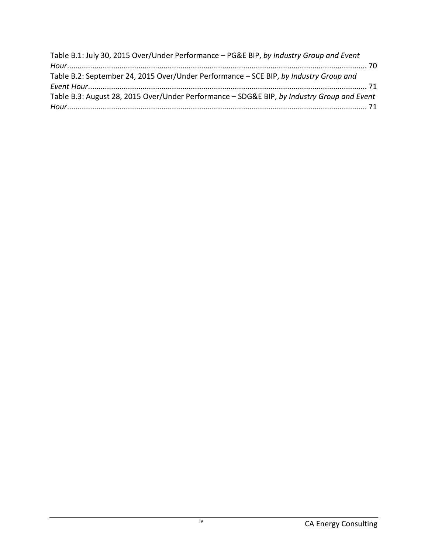| Table B.1: July 30, 2015 Over/Under Performance - PG&E BIP, by Industry Group and Event    |  |
|--------------------------------------------------------------------------------------------|--|
|                                                                                            |  |
| Table B.2: September 24, 2015 Over/Under Performance - SCE BIP, by Industry Group and      |  |
|                                                                                            |  |
| Table B.3: August 28, 2015 Over/Under Performance - SDG&E BIP, by Industry Group and Event |  |
|                                                                                            |  |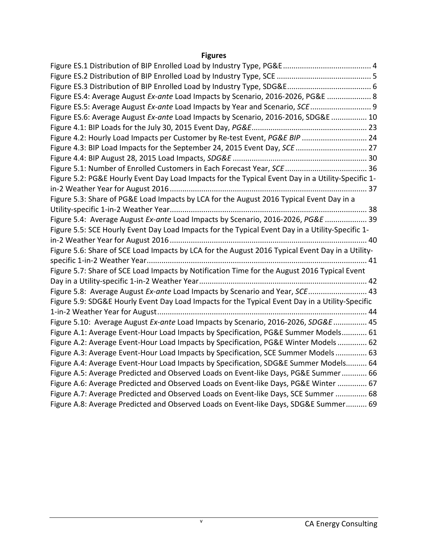#### **Figures**

| Figure ES.4: Average August Ex-ante Load Impacts by Scenario, 2016-2026, PG&E  8                  |  |
|---------------------------------------------------------------------------------------------------|--|
| Figure ES.5: Average August Ex-ante Load Impacts by Year and Scenario, SCE  9                     |  |
| Figure ES.6: Average August Ex-ante Load Impacts by Scenario, 2016-2016, SDG&E  10                |  |
|                                                                                                   |  |
| Figure 4.2: Hourly Load Impacts per Customer by Re-test Event, PG&E BIP  24                       |  |
| Figure 4.3: BIP Load Impacts for the September 24, 2015 Event Day, SCE  27                        |  |
|                                                                                                   |  |
|                                                                                                   |  |
| Figure 5.2: PG&E Hourly Event Day Load Impacts for the Typical Event Day in a Utility-Specific 1- |  |
|                                                                                                   |  |
| Figure 5.3: Share of PG&E Load Impacts by LCA for the August 2016 Typical Event Day in a          |  |
|                                                                                                   |  |
| Figure 5.4: Average August Ex-ante Load Impacts by Scenario, 2016-2026, PG&E  39                  |  |
| Figure 5.5: SCE Hourly Event Day Load Impacts for the Typical Event Day in a Utility-Specific 1-  |  |
|                                                                                                   |  |
| Figure 5.6: Share of SCE Load Impacts by LCA for the August 2016 Typical Event Day in a Utility-  |  |
|                                                                                                   |  |
| Figure 5.7: Share of SCE Load Impacts by Notification Time for the August 2016 Typical Event      |  |
|                                                                                                   |  |
| Figure 5.8: Average August Ex-ante Load Impacts by Scenario and Year, SCE 43                      |  |
| Figure 5.9: SDG&E Hourly Event Day Load Impacts for the Typical Event Day in a Utility-Specific   |  |
|                                                                                                   |  |
| Figure 5.10: Average August Ex-ante Load Impacts by Scenario, 2016-2026, SDG&E  45                |  |
| Figure A.1: Average Event-Hour Load Impacts by Specification, PG&E Summer Models 61               |  |
| Figure A.2: Average Event-Hour Load Impacts by Specification, PG&E Winter Models 62               |  |
| Figure A.3: Average Event-Hour Load Impacts by Specification, SCE Summer Models 63                |  |
| Figure A.4: Average Event-Hour Load Impacts by Specification, SDG&E Summer Models 64              |  |
| Figure A.5: Average Predicted and Observed Loads on Event-like Days, PG&E Summer 66               |  |
| Figure A.6: Average Predicted and Observed Loads on Event-like Days, PG&E Winter  67              |  |
| Figure A.7: Average Predicted and Observed Loads on Event-like Days, SCE Summer  68               |  |
| Figure A.8: Average Predicted and Observed Loads on Event-like Days, SDG&E Summer 69              |  |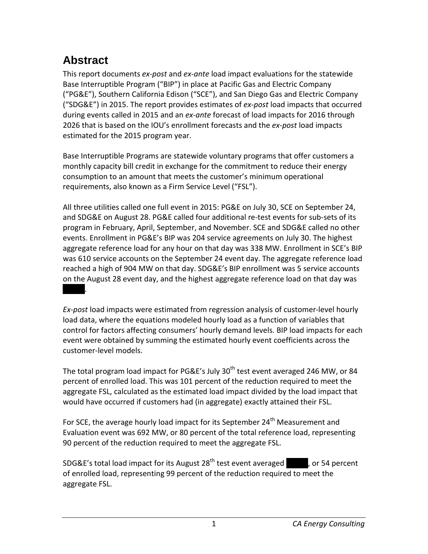# <span id="page-6-0"></span>**Abstract**

This report documents *ex-post* and *ex-ante* load impact evaluations for the statewide Base Interruptible Program ("BIP") in place at Pacific Gas and Electric Company ("PG&E"), Southern California Edison ("SCE"), and San Diego Gas and Electric Company ("SDG&E") in 2015. The report provides estimates of *ex-post* load impacts that occurred during events called in 2015 and an *ex-ante* forecast of load impacts for 2016 through 2026 that is based on the IOU's enrollment forecasts and the *ex-post* load impacts estimated for the 2015 program year.

Base Interruptible Programs are statewide voluntary programs that offer customers a monthly capacity bill credit in exchange for the commitment to reduce their energy consumption to an amount that meets the customer's minimum operational requirements, also known as a Firm Service Level ("FSL").

All three utilities called one full event in 2015: PG&E on July 30, SCE on September 24, and SDG&E on August 28. PG&E called four additional re-test events for sub-sets of its program in February, April, September, and November. SCE and SDG&E called no other events. Enrollment in PG&E's BIP was 204 service agreements on July 30. The highest aggregate reference load for any hour on that day was 338 MW. Enrollment in SCE's BIP was 610 service accounts on the September 24 event day. The aggregate reference load reached a high of 904 MW on that day. SDG&E's BIP enrollment was 5 service accounts on the August 28 event day, and the highest aggregate reference load on that day was  $X \times X$ 

*Ex-post* load impacts were estimated from regression analysis of customer-level hourly load data, where the equations modeled hourly load as a function of variables that control for factors affecting consumers' hourly demand levels. BIP load impacts for each event were obtained by summing the estimated hourly event coefficients across the customer-level models.

The total program load impact for PG&E's July 30<sup>th</sup> test event averaged 246 MW, or 84 percent of enrolled load. This was 101 percent of the reduction required to meet the aggregate FSL, calculated as the estimated load impact divided by the load impact that would have occurred if customers had (in aggregate) exactly attained their FSL.

For SCE, the average hourly load impact for its September 24<sup>th</sup> Measurement and Evaluation event was 692 MW, or 80 percent of the total reference load, representing 90 percent of the reduction required to meet the aggregate FSL.

SDG&E's total load impact for its August 28<sup>th</sup> test event averaged  $\blacksquare$ , or 54 percent of enrolled load, representing 99 percent of the reduction required to meet the aggregate FSL.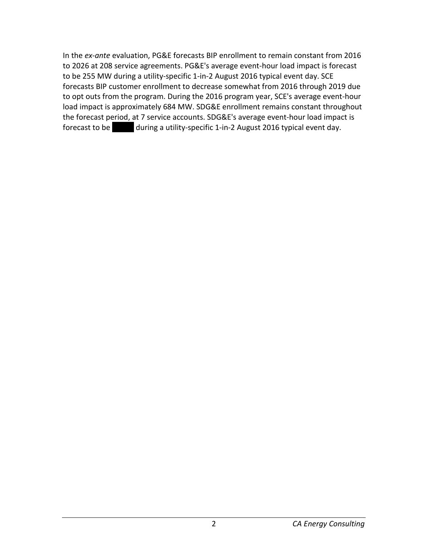In the *ex-ante* evaluation, PG&E forecasts BIP enrollment to remain constant from 2016 to 2026 at 208 service agreements. PG&E's average event-hour load impact is forecast to be 255 MW during a utility-specific 1-in-2 August 2016 typical event day. SCE forecasts BIP customer enrollment to decrease somewhat from 2016 through 2019 due to opt outs from the program. During the 2016 program year, SCE's average event-hour load impact is approximately 684 MW. SDG&E enrollment remains constant throughout the forecast period, at 7 service accounts. SDG&E's average event-hour load impact is forecast to be  $\blacksquare$  during a utility-specific 1-in-2 August 2016 typical event day.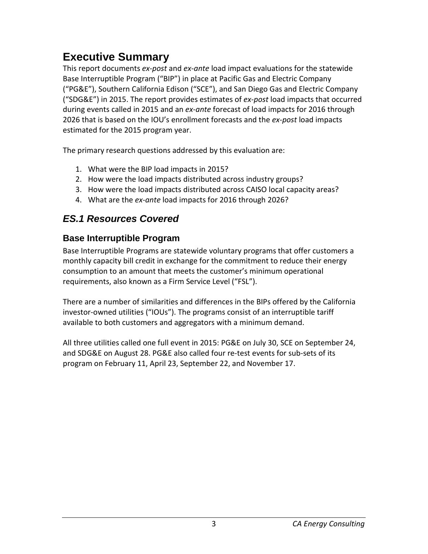# <span id="page-8-0"></span>**Executive Summary**

This report documents *ex-post* and *ex-ante* load impact evaluations for the statewide Base Interruptible Program ("BIP") in place at Pacific Gas and Electric Company ("PG&E"), Southern California Edison ("SCE"), and San Diego Gas and Electric Company ("SDG&E") in 2015. The report provides estimates of *ex-post* load impacts that occurred during events called in 2015 and an *ex-ante* forecast of load impacts for 2016 through 2026 that is based on the IOU's enrollment forecasts and the *ex-post* load impacts estimated for the 2015 program year.

The primary research questions addressed by this evaluation are:

- 1. What were the BIP load impacts in 2015?
- 2. How were the load impacts distributed across industry groups?
- 3. How were the load impacts distributed across CAISO local capacity areas?
- 4. What are the *ex-ante* load impacts for 2016 through 2026?

# <span id="page-8-1"></span>*ES.1 Resources Covered*

### <span id="page-8-2"></span>**Base Interruptible Program**

Base Interruptible Programs are statewide voluntary programs that offer customers a monthly capacity bill credit in exchange for the commitment to reduce their energy consumption to an amount that meets the customer's minimum operational requirements, also known as a Firm Service Level ("FSL").

There are a number of similarities and differences in the BIPs offered by the California investor-owned utilities ("IOUs"). The programs consist of an interruptible tariff available to both customers and aggregators with a minimum demand.

All three utilities called one full event in 2015: PG&E on July 30, SCE on September 24, and SDG&E on August 28. PG&E also called four re-test events for sub-sets of its program on February 11, April 23, September 22, and November 17.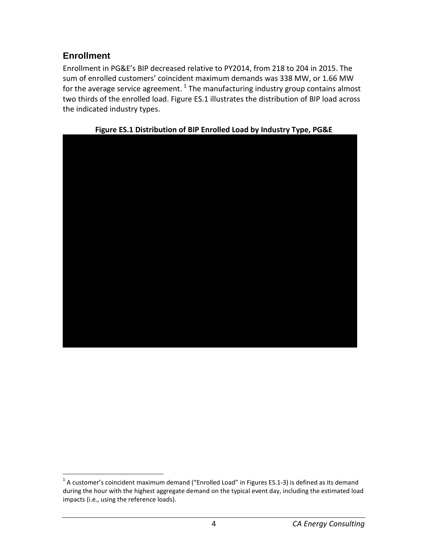### <span id="page-9-0"></span>**Enrollment**

Enrollment in PG&E's BIP decreased relative to PY2014, from 218 to 204 in 2015. The sum of enrolled customers' coincident maximum demands was 338 MW, or 1.66 MW for the average service agreement.  $^{1}$  $^{1}$  $^{1}$  The manufacturing industry group contains almost two thirds of the enrolled load. Figure ES.1 illustrates the distribution of BIP load across the indicated industry types.

<span id="page-9-1"></span>

#### **Figure ES.1 Distribution of BIP Enrolled Load by Industry Type, PG&E**

<span id="page-9-2"></span> $1$  A customer's coincident maximum demand ("Enrolled Load" in Figures ES.1-3) is defined as its demand during the hour with the highest aggregate demand on the typical event day, including the estimated load impacts (i.e., using the reference loads).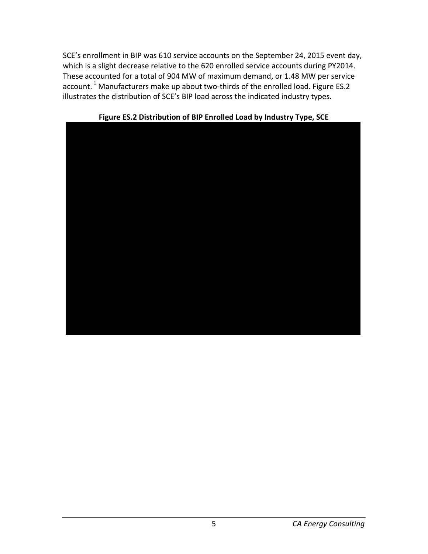SCE's enrollment in BIP was 610 service accounts on the September 24, 2015 event day, which is a slight decrease relative to the 620 enrolled service accounts during PY2014. These accounted for a total of 904 MW of maximum demand, or 1.48 MW per service account.<sup>1</sup> Manufacturers make up about two-thirds of the enrolled load. Figure ES.2 illustrates the distribution of SCE's BIP load across the indicated industry types.

<span id="page-10-0"></span>

**Figure ES.2 Distribution of BIP Enrolled Load by Industry Type, SCE**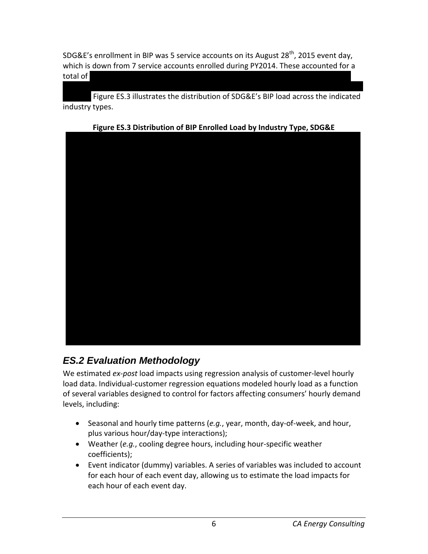SDG&E's enrollment in BIP was 5 service accounts on its August 28<sup>th</sup>, 2015 event day, which is down from 7 service accounts enrolled during PY2014. These accounted for a total of  $X\times X$   $\to$   $X\times X$   $\to$   $X\times X$   $\to$   $X\times X$ 

Figure ES.3 illustrates the distribution of SDG&E's BIP load across the indicated industry types.

<span id="page-11-1"></span>

#### **Figure ES.3 Distribution of BIP Enrolled Load by Industry Type, SDG&E**

# <span id="page-11-0"></span>*ES.2 Evaluation Methodology*

We estimated *ex-post* load impacts using regression analysis of customer-level hourly load data. Individual-customer regression equations modeled hourly load as a function of several variables designed to control for factors affecting consumers' hourly demand levels, including:

- Seasonal and hourly time patterns (*e.g.*, year, month, day-of-week, and hour, plus various hour/day-type interactions);
- Weather (*e.g.*, cooling degree hours, including hour-specific weather coefficients);
- Event indicator (dummy) variables. A series of variables was included to account for each hour of each event day, allowing us to estimate the load impacts for each hour of each event day.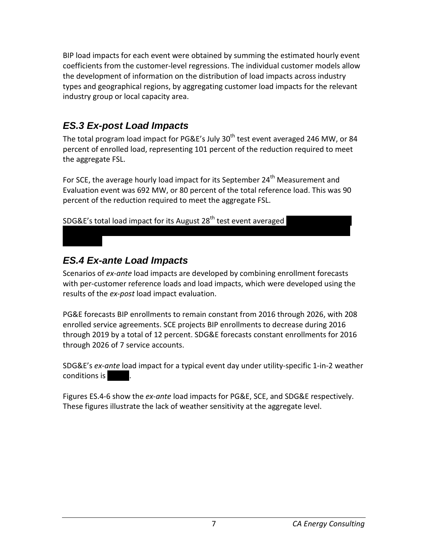BIP load impacts for each event were obtained by summing the estimated hourly event coefficients from the customer-level regressions. The individual customer models allow the development of information on the distribution of load impacts across industry types and geographical regions, by aggregating customer load impacts for the relevant industry group or local capacity area.

# <span id="page-12-0"></span>*ES.3 Ex-post Load Impacts*

The total program load impact for PG&E's July  $30<sup>th</sup>$  test event averaged 246 MW, or 84 percent of enrolled load, representing 101 percent of the reduction required to meet the aggregate FSL.

For SCE, the average hourly load impact for its September 24<sup>th</sup> Measurement and Evaluation event was 692 MW, or 80 percent of the total reference load. This was 90 percent of the reduction required to meet the aggregate FSL.

SDG&E's total load impact for its August 28<sup>th</sup> test event averaged

# <span id="page-12-1"></span>*ES.4 Ex-ante Load Impacts*

Scenarios of *ex-ante* load impacts are developed by combining enrollment forecasts with per-customer reference loads and load impacts, which were developed using the results of the *ex-post* load impact evaluation.

PG&E forecasts BIP enrollments to remain constant from 2016 through 2026, with 208 enrolled service agreements. SCE projects BIP enrollments to decrease during 2016 through 2019 by a total of 12 percent. SDG&E forecasts constant enrollments for 2016 through 2026 of 7 service accounts.

SDG&E's *ex-ante* load impact for a typical event day under utility-specific 1-in-2 weather conditions is

Figures ES.4-6 show the *ex-ante* load impacts for PG&E, SCE, and SDG&E respectively. These figures illustrate the lack of weather sensitivity at the aggregate level.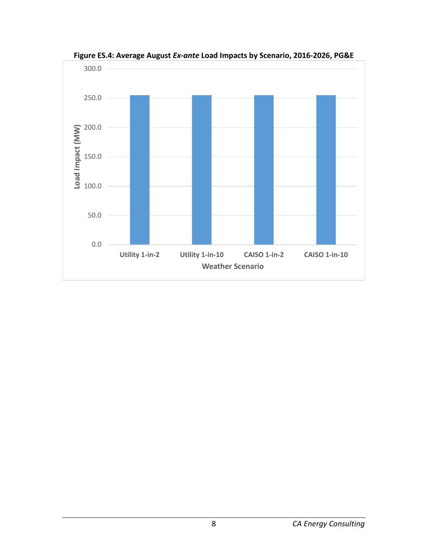<span id="page-13-0"></span>

**Figure ES.4: Average August** *Ex-ante* **Load Impacts by Scenario, 2016-2026, PG&E**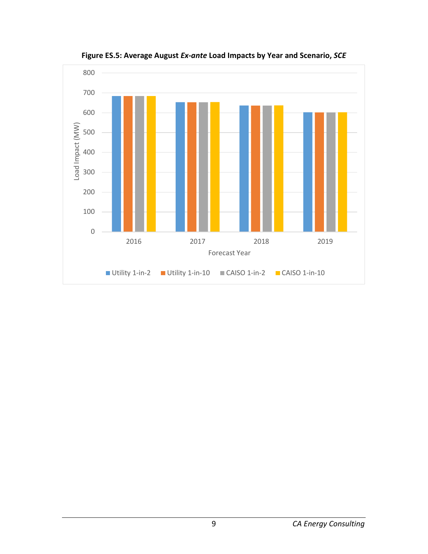<span id="page-14-0"></span>

**Figure ES.5: Average August** *Ex-ante* **Load Impacts by Year and Scenario,** *SCE*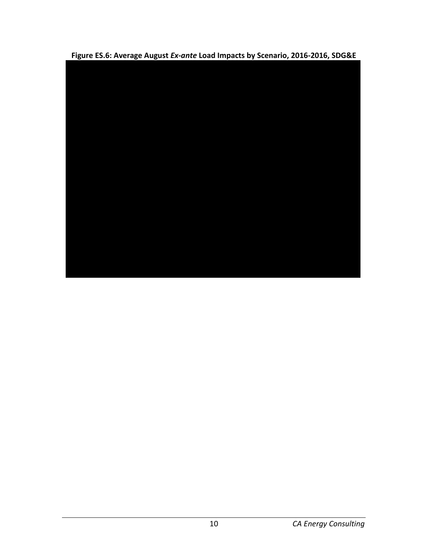<span id="page-15-0"></span>**Figure ES.6: Average August** *Ex-ante* **Load Impacts by Scenario, 2016-2016, SDG&E**

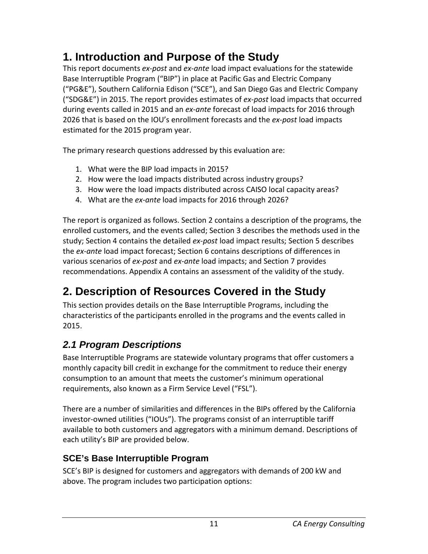# <span id="page-16-0"></span>**1. Introduction and Purpose of the Study**

This report documents *ex-post* and *ex-ante* load impact evaluations for the statewide Base Interruptible Program ("BIP") in place at Pacific Gas and Electric Company ("PG&E"), Southern California Edison ("SCE"), and San Diego Gas and Electric Company ("SDG&E") in 2015. The report provides estimates of *ex-post* load impacts that occurred during events called in 2015 and an *ex-ante* forecast of load impacts for 2016 through 2026 that is based on the IOU's enrollment forecasts and the *ex-post* load impacts estimated for the 2015 program year.

The primary research questions addressed by this evaluation are:

- 1. What were the BIP load impacts in 2015?
- 2. How were the load impacts distributed across industry groups?
- 3. How were the load impacts distributed across CAISO local capacity areas?
- 4. What are the *ex-ante* load impacts for 2016 through 2026?

The report is organized as follows. Section 2 contains a description of the programs, the enrolled customers, and the events called; Section 3 describes the methods used in the study; Section 4 contains the detailed *ex-post* load impact results; Section 5 describes the *ex-ante* load impact forecast; Section 6 contains descriptions of differences in various scenarios of *ex-post* and *ex-ante* load impacts; and Section 7 provides recommendations. Appendix A contains an assessment of the validity of the study.

# <span id="page-16-1"></span>**2. Description of Resources Covered in the Study**

This section provides details on the Base Interruptible Programs, including the characteristics of the participants enrolled in the programs and the events called in 2015.

# <span id="page-16-2"></span>*2.1 Program Descriptions*

Base Interruptible Programs are statewide voluntary programs that offer customers a monthly capacity bill credit in exchange for the commitment to reduce their energy consumption to an amount that meets the customer's minimum operational requirements, also known as a Firm Service Level ("FSL").

There are a number of similarities and differences in the BIPs offered by the California investor-owned utilities ("IOUs"). The programs consist of an interruptible tariff available to both customers and aggregators with a minimum demand. Descriptions of each utility's BIP are provided below.

# <span id="page-16-3"></span>**SCE's Base Interruptible Program**

SCE's BIP is designed for customers and aggregators with demands of 200 kW and above. The program includes two participation options: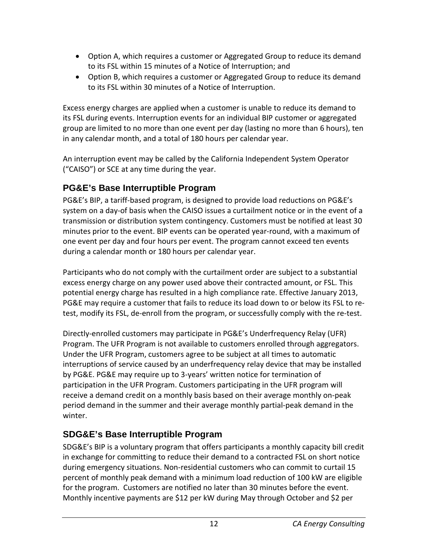- Option A, which requires a customer or Aggregated Group to reduce its demand to its FSL within 15 minutes of a Notice of Interruption; and
- Option B, which requires a customer or Aggregated Group to reduce its demand to its FSL within 30 minutes of a Notice of Interruption.

Excess energy charges are applied when a customer is unable to reduce its demand to its FSL during events. Interruption events for an individual BIP customer or aggregated group are limited to no more than one event per day (lasting no more than 6 hours), ten in any calendar month, and a total of 180 hours per calendar year.

An interruption event may be called by the California Independent System Operator ("CAISO") or SCE at any time during the year.

# <span id="page-17-0"></span>**PG&E's Base Interruptible Program**

PG&E's BIP, a tariff-based program, is designed to provide load reductions on PG&E's system on a day-of basis when the CAISO issues a curtailment notice or in the event of a transmission or distribution system contingency. Customers must be notified at least 30 minutes prior to the event. BIP events can be operated year-round, with a maximum of one event per day and four hours per event. The program cannot exceed ten events during a calendar month or 180 hours per calendar year.

Participants who do not comply with the curtailment order are subject to a substantial excess energy charge on any power used above their contracted amount, or FSL. This potential energy charge has resulted in a high compliance rate. Effective January 2013, PG&E may require a customer that fails to reduce its load down to or below its FSL to retest, modify its FSL, de-enroll from the program, or successfully comply with the re-test.

Directly-enrolled customers may participate in PG&E's Underfrequency Relay (UFR) Program. The UFR Program is not available to customers enrolled through aggregators. Under the UFR Program, customers agree to be subject at all times to automatic interruptions of service caused by an underfrequency relay device that may be installed by PG&E. PG&E may require up to 3-years' written notice for termination of participation in the UFR Program. Customers participating in the UFR program will receive a demand credit on a monthly basis based on their average monthly on-peak period demand in the summer and their average monthly partial-peak demand in the winter.

## <span id="page-17-1"></span>**SDG&E's Base Interruptible Program**

SDG&E's BIP is a voluntary program that offers participants a monthly capacity bill credit in exchange for committing to reduce their demand to a contracted FSL on short notice during emergency situations. Non-residential customers who can commit to curtail 15 percent of monthly peak demand with a minimum load reduction of 100 kW are eligible for the program. Customers are notified no later than 30 minutes before the event. Monthly incentive payments are \$12 per kW during May through October and \$2 per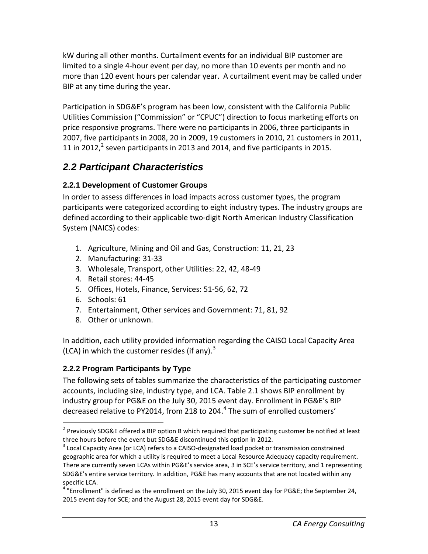kW during all other months. Curtailment events for an individual BIP customer are limited to a single 4-hour event per day, no more than 10 events per month and no more than 120 event hours per calendar year. A curtailment event may be called under BIP at any time during the year.

Participation in SDG&E's program has been low, consistent with the California Public Utilities Commission ("Commission" or "CPUC") direction to focus marketing efforts on price responsive programs. There were no participants in 2006, three participants in 2007, five participants in 2008, 20 in 2009, 19 customers in 2010, 21 customers in 2011, 11 in [2](#page-18-3)012,<sup>2</sup> seven participants in 2013 and 2014, and five participants in 2015.

# <span id="page-18-0"></span>*2.2 Participant Characteristics*

#### <span id="page-18-1"></span>**2.2.1 Development of Customer Groups**

In order to assess differences in load impacts across customer types, the program participants were categorized according to eight industry types. The industry groups are defined according to their applicable two-digit North American Industry Classification System (NAICS) codes:

- 1. Agriculture, Mining and Oil and Gas, Construction: 11, 21, 23
- 2. Manufacturing: 31-33
- 3. Wholesale, Transport, other Utilities: 22, 42, 48-49
- 4. Retail stores: 44-45
- 5. Offices, Hotels, Finance, Services: 51-56, 62, 72
- 6. Schools: 61
- 7. Entertainment, Other services and Government: 71, 81, 92
- 8. Other or unknown.

In addition, each utility provided information regarding the CAISO Local Capacity Area (LCA) in which the customer resides (if any). $3$ 

### <span id="page-18-2"></span>**2.2.2 Program Participants by Type**

The following sets of tables summarize the characteristics of the participating customer accounts, including size, industry type, and LCA. Table 2.1 shows BIP enrollment by industry group for PG&E on the July 30, 2015 event day. Enrollment in PG&E's BIP decreased relative to PY201[4](#page-18-5), from 218 to 204.<sup>4</sup> The sum of enrolled customers'

<span id="page-18-3"></span> $\overline{a}$ <sup>2</sup> Previously SDG&E offered a BIP option B which required that participating customer be notified at least three hours before the event but SDG&E discontinued this option in 2012.<br><sup>3</sup> Local Capacity Area (or LCA) refers to a CAISO-designated load pocket or transmission constrained

<span id="page-18-4"></span>geographic area for which a utility is required to meet a Local Resource Adequacy capacity requirement. There are currently seven LCAs within PG&E's service area, 3 in SCE's service territory, and 1 representing SDG&E's entire service territory. In addition, PG&E has many accounts that are not located within any specific LCA.

<span id="page-18-5"></span> $4$  "Enrollment" is defined as the enrollment on the July 30, 2015 event day for PG&E; the September 24, 2015 event day for SCE; and the August 28, 2015 event day for SDG&E.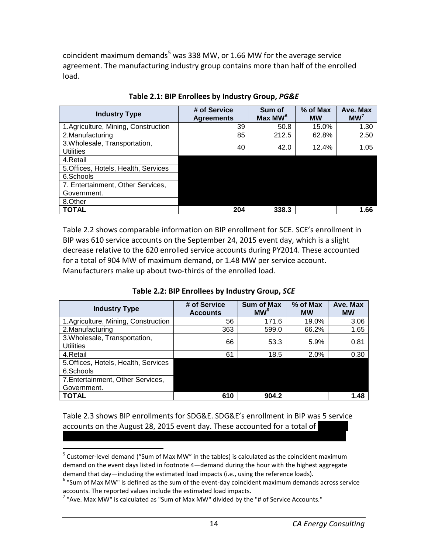coincident maximum demands<sup>[5](#page-19-2)</sup> was 338 MW, or 1.66 MW for the average service agreement. The manufacturing industry group contains more than half of the enrolled load.

<span id="page-19-0"></span>

| <b>Industry Type</b>                              | # of Service<br><b>Agreements</b> | Sum of<br>Max MW <sup>6</sup> | % of Max<br><b>MW</b> | Ave. Max<br>MW <sup>7</sup> |
|---------------------------------------------------|-----------------------------------|-------------------------------|-----------------------|-----------------------------|
| 1.Agriculture, Mining, Construction               | 39                                | 50.8                          | 15.0%                 | 1.30                        |
| 2. Manufacturing                                  | 85                                | 212.5                         | 62.8%                 | 2.50                        |
| 3. Wholesale, Transportation,<br><b>Utilities</b> | 40                                | 42.0                          | 12.4%                 | 1.05                        |
| 4.Retail                                          |                                   |                               |                       |                             |
| 5. Offices, Hotels, Health, Services              |                                   |                               |                       |                             |
| 6.Schools                                         |                                   |                               |                       |                             |
| 7. Entertainment, Other Services,                 |                                   |                               |                       |                             |
| Government.                                       |                                   |                               |                       |                             |
| 8.Other                                           |                                   |                               |                       |                             |
| <b>TOTAL</b>                                      | 204                               | 338.3                         |                       | 1.66                        |

**Table 2.1: BIP Enrollees by Industry Group,** *PG&E*

Table 2.2 shows comparable information on BIP enrollment for SCE. SCE's enrollment in BIP was 610 service accounts on the September 24, 2015 event day, which is a slight decrease relative to the 620 enrolled service accounts during PY2014. These accounted for a total of 904 MW of maximum demand, or 1.48 MW per service account. Manufacturers make up about two-thirds of the enrolled load.

<span id="page-19-1"></span>

| <b>Industry Type</b>                              | # of Service<br><b>Accounts</b> | <b>Sum of Max</b><br>MW <sup>6</sup> | $%$ of Max<br><b>MW</b> | Ave. Max<br><b>MW</b> |
|---------------------------------------------------|---------------------------------|--------------------------------------|-------------------------|-----------------------|
| 1.Agriculture, Mining, Construction               | 56                              | 171.6                                | 19.0%                   | 3.06                  |
| 2. Manufacturing                                  | 363                             | 599.0                                | 66.2%                   | 1.65                  |
| 3. Wholesale, Transportation,<br><b>Utilities</b> | 66                              | 53.3                                 | 5.9%                    | 0.81                  |
| 4.Retail                                          | 61                              | 18.5                                 | 2.0%                    | 0.30                  |
| 5. Offices, Hotels, Health, Services              |                                 |                                      |                         |                       |
| 6.Schools                                         |                                 |                                      |                         |                       |
| 7. Entertainment, Other Services,                 |                                 |                                      |                         |                       |
| Government.                                       |                                 |                                      |                         |                       |
| <b>TOTAL</b>                                      | 610                             | 904.2                                |                         | 1.48                  |

Table 2.3 shows BIP enrollments for SDG&E. SDG&E's enrollment in BIP was 5 service accounts on the August 28, 2015 event day. These accounted for a total of

<span id="page-19-2"></span><sup>&</sup>lt;sup>5</sup> Customer-level demand ("Sum of Max MW" in the tables) is calculated as the coincident maximum demand on the event days listed in footnote 4—demand during the hour with the highest aggregate

<span id="page-19-3"></span>demand that day—including the estimated load impacts (i.e., using the reference loads).<br><sup>6</sup> "Sum of Max MW" is defined as the sum of the event-day coincident maximum demands across service accounts. The reported values in

<span id="page-19-4"></span> $^7$  "Ave. Max MW" is calculated as "Sum of Max MW" divided by the "# of Service Accounts."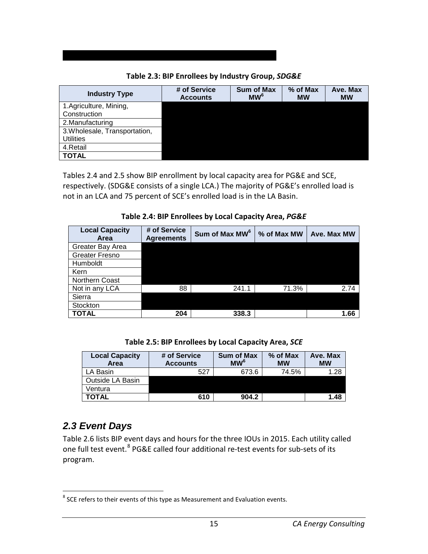#### **Table 2.3: BIP Enrollees by Industry Group,** *SDG&E*

XXXXXXXXXXXXXXXXXXXXXXXXXXXXXXXXXXXXXXXXXXXXXXXXX

<span id="page-20-1"></span>

| <b>Industry Type</b>          | # of Service<br><b>Accounts</b> | <b>Sum of Max</b><br>MW <sup>6</sup> | % of Max<br><b>MW</b> | Ave. Max<br><b>MW</b> |
|-------------------------------|---------------------------------|--------------------------------------|-----------------------|-----------------------|
| 1.Agriculture, Mining,        |                                 |                                      |                       |                       |
| Construction                  |                                 |                                      |                       |                       |
| 2. Manufacturing              |                                 |                                      |                       |                       |
| 3. Wholesale, Transportation, |                                 |                                      |                       |                       |
| <b>Utilities</b>              |                                 |                                      |                       |                       |
| 4. Retail                     |                                 |                                      |                       |                       |
| <b>TOTAL</b>                  |                                 |                                      |                       |                       |

Tables 2.4 and 2.5 show BIP enrollment by local capacity area for PG&E and SCE, respectively. (SDG&E consists of a single LCA.) The majority of PG&E's enrolled load is not in an LCA and 75 percent of SCE's enrolled load is in the LA Basin.

<span id="page-20-2"></span>

| <b>Local Capacity</b><br>Area | # of Service<br><b>Agreements</b> | Sum of Max MW <sup>6</sup> | % of Max MW | Ave. Max MW |
|-------------------------------|-----------------------------------|----------------------------|-------------|-------------|
| Greater Bay Area              |                                   |                            |             |             |
| Greater Fresno                |                                   |                            |             |             |
| Humboldt                      |                                   |                            |             |             |
| Kern                          |                                   |                            |             |             |
| <b>Northern Coast</b>         |                                   |                            |             |             |
| Not in any LCA                | 88                                | 241.1                      | 71.3%       | 2.74        |
| Sierra                        |                                   |                            |             |             |
| Stockton                      |                                   |                            |             |             |
| TOTAL                         | 204                               | 338.3                      |             | 1.66        |

**Table 2.4: BIP Enrollees by Local Capacity Area,** *PG&E*

<span id="page-20-3"></span>

| <b>Local Capacity</b><br>Area | # of Service<br><b>Accounts</b> | <b>Sum of Max</b><br>MW <sup>6</sup> | $%$ of Max<br><b>MW</b> | Ave. Max<br><b>MW</b> |
|-------------------------------|---------------------------------|--------------------------------------|-------------------------|-----------------------|
| LA Basin                      | 527                             | 673.6                                | 74.5%                   | 1.28                  |
| Outside LA Basin              |                                 |                                      |                         |                       |
| Ventura                       |                                 |                                      |                         |                       |
| TOTAL                         | 610                             | 904.2                                |                         | 1.48                  |

# <span id="page-20-0"></span>*2.3 Event Days*

Table 2.6 lists BIP event days and hours for the three IOUs in 2015. Each utility called one full test event.<sup>[8](#page-20-4)</sup> PG&E called four additional re-test events for sub-sets of its program.

<span id="page-20-4"></span> $8$  SCE refers to their events of this type as Measurement and Evaluation events.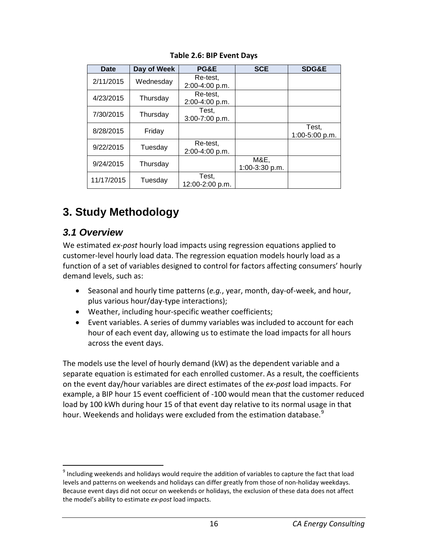<span id="page-21-2"></span>

| Date       | Day of Week | PG&E                        | <b>SCE</b>             | <b>SDG&amp;E</b>        |
|------------|-------------|-----------------------------|------------------------|-------------------------|
| 2/11/2015  | Wednesday   | Re-test.<br>2:00-4:00 p.m.  |                        |                         |
| 4/23/2015  | Thursday    | Re-test.<br>2:00-4:00 p.m.  |                        |                         |
| 7/30/2015  | Thursday    | Test.<br>$3:00 - 7:00$ p.m. |                        |                         |
| 8/28/2015  | Friday      |                             |                        | Test,<br>1:00-5:00 p.m. |
| 9/22/2015  | Tuesday     | Re-test.<br>2:00-4:00 p.m.  |                        |                         |
| 9/24/2015  | Thursday    |                             | M&E,<br>1:00-3:30 p.m. |                         |
| 11/17/2015 | Tuesday     | Test,<br>12:00-2:00 p.m.    |                        |                         |

#### **Table 2.6: BIP Event Days**

# <span id="page-21-0"></span>**3. Study Methodology**

## <span id="page-21-1"></span>*3.1 Overview*

We estimated *ex-post* hourly load impacts using regression equations applied to customer-level hourly load data. The regression equation models hourly load as a function of a set of variables designed to control for factors affecting consumers' hourly demand levels, such as:

- Seasonal and hourly time patterns (*e.g.*, year, month, day-of-week, and hour, plus various hour/day-type interactions);
- Weather, including hour-specific weather coefficients;
- Event variables. A series of dummy variables was included to account for each hour of each event day, allowing us to estimate the load impacts for all hours across the event days.

The models use the level of hourly demand (kW) as the dependent variable and a separate equation is estimated for each enrolled customer. As a result, the coefficients on the event day/hour variables are direct estimates of the *ex-post* load impacts. For example, a BIP hour 15 event coefficient of -100 would mean that the customer reduced load by 100 kWh during hour 15 of that event day relative to its normal usage in that hour. Weekends and holidays were excluded from the estimation database.<sup>[9](#page-21-3)</sup>

<span id="page-21-3"></span><sup>&</sup>lt;sup>9</sup> Including weekends and holidays would require the addition of variables to capture the fact that load levels and patterns on weekends and holidays can differ greatly from those of non-holiday weekdays. Because event days did not occur on weekends or holidays, the exclusion of these data does not affect the model's ability to estimate *ex-post* load impacts.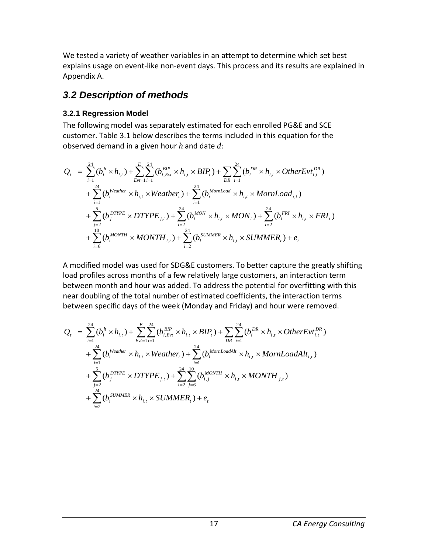We tested a variety of weather variables in an attempt to determine which set best explains usage on event-like non-event days. This process and its results are explained in Appendix A.

# <span id="page-22-0"></span>*3.2 Description of methods*

#### <span id="page-22-1"></span>**3.2.1 Regression Model**

The following model was separately estimated for each enrolled PG&E and SCE customer. Table 3.1 below describes the terms included in this equation for the observed demand in a given hour *h* and date *d*:

$$
Q_{t} = \sum_{i=1}^{24} (b_{i}^{h} \times h_{i,t}) + \sum_{Evt=1}^{E} \sum_{i=1}^{24} (b_{i,Evt}^{BIP} \times h_{i,t} \times BIP_{t}) + \sum_{DR} \sum_{i=1}^{24} (b_{i}^{DR} \times h_{i,t} \times OtherEvt_{i,t}^{DR})
$$
  
+ 
$$
\sum_{i=1}^{24} (b_{i}^{Weather} \times h_{i,t} \times Weather_{t}) + \sum_{i=1}^{24} (b_{i}^{MonLoad} \times h_{i,t} \times MornLoad_{i,t})
$$
  
+ 
$$
\sum_{j=2}^{5} (b_{j}^{DTYPE} \times DTYPE_{j,t}) + \sum_{i=2}^{24} (b_{i}^{MON} \times h_{i,t} \times MON_{t}) + \sum_{i=2}^{24} (b_{i}^{FRI} \times h_{i,t} \times FRI_{t})
$$
  
+ 
$$
\sum_{i=6}^{10} (b_{i}^{MONTH} \times MONTH_{i,t}) + \sum_{i=2}^{24} (b_{i}^{SUMMER} \times h_{i,t} \times SUMMER_{t}) + e_{t}
$$

A modified model was used for SDG&E customers. To better capture the greatly shifting load profiles across months of a few relatively large customers, an interaction term between month and hour was added. To address the potential for overfitting with this near doubling of the total number of estimated coefficients, the interaction terms between specific days of the week (Monday and Friday) and hour were removed.

$$
Q_{t} = \sum_{i=1}^{24} (b_{i}^{h} \times h_{i,t}) + \sum_{Evt=1}^{E} \sum_{i=1}^{24} (b_{i,Evt}^{BIP} \times h_{i,t} \times BIP_{t}) + \sum_{DR} \sum_{i=1}^{24} (b_{i}^{DR} \times h_{i,t} \times OtherEvt_{i,t}^{DR}) + \sum_{i=1}^{24} (b_{i}^{Weather} \times h_{i,t} \times Weather_{t}) + \sum_{i=1}^{24} (b_{i}^{MornLoadAlt} \times h_{i,t} \times MornLoadAlt_{i,t}) + \sum_{j=2}^{5} (b_{j}^{DTYPE} \times DTYPE_{j,t}) + \sum_{i=2}^{24} \sum_{j=6}^{10} (b_{i,j}^{MONTH} \times h_{i,t} \times MONTH_{j,t}) + \sum_{i=2}^{24} (b_{i}^{SUMMER} \times h_{i,t} \times SUMMER_{t}) + e_{t}
$$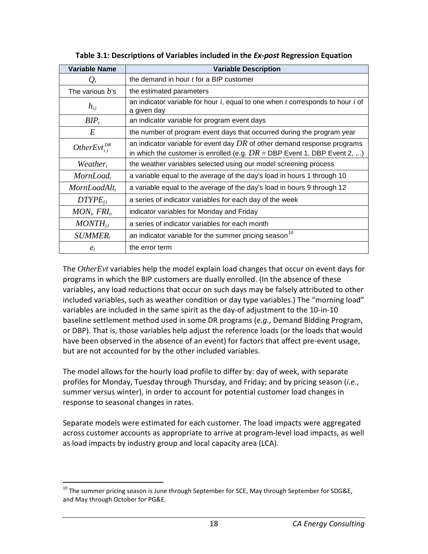<span id="page-23-0"></span>

| <b>Variable Name</b>   | <b>Variable Description</b>                                                                                                                              |
|------------------------|----------------------------------------------------------------------------------------------------------------------------------------------------------|
| $\mathcal{Q}_t$        | the demand in hour t for a BIP customer                                                                                                                  |
| The various $b$ 's     | the estimated parameters                                                                                                                                 |
| $h_{i,t}$              | an indicator variable for hour $i$ , equal to one when $t$ corresponds to hour $i$ of<br>a given day                                                     |
| $BIP_t$                | an indicator variable for program event days                                                                                                             |
| E                      | the number of program event days that occurred during the program year                                                                                   |
| OtherEvt <sup>DR</sup> | an indicator variable for event day $DR$ of other demand response programs<br>in which the customer is enrolled (e.g. $DR = DBP$ Event 1, DBP Event 2, ) |
| $Weather_t$            | the weather variables selected using our model screening process                                                                                         |
| MornLoad,              | a variable equal to the average of the day's load in hours 1 through 10                                                                                  |
| MornLoadAlt,           | a variable equal to the average of the day's load in hours 9 through 12                                                                                  |
| $DTYPE_{i,t}$          | a series of indicator variables for each day of the week                                                                                                 |
| $MONt$ , $FRIt$ ,      | indicator variables for Monday and Friday                                                                                                                |
| $MONTH_{i,t}$          | a series of indicator variables for each month                                                                                                           |
| <i>SUMMER</i>          | an indicator variable for the summer pricing season <sup>10</sup>                                                                                        |
| $e_{t}$                | the error term                                                                                                                                           |

**Table 3.1: Descriptions of Variables included in the** *Ex-post* **Regression Equation**

The *OtherEvt* variables help the model explain load changes that occur on event days for programs in which the BIP customers are dually enrolled. (In the absence of these variables, any load reductions that occur on such days may be falsely attributed to other included variables, such as weather condition or day type variables.) The "morning load" variables are included in the same spirit as the day-of adjustment to the 10-in-10 baseline settlement method used in some DR programs (*e.g.*, Demand Bidding Program, or DBP). That is, those variables help adjust the reference loads (or the loads that would have been observed in the absence of an event) for factors that affect pre-event usage, but are not accounted for by the other included variables.

The model allows for the hourly load profile to differ by: day of week, with separate profiles for Monday, Tuesday through Thursday, and Friday; and by pricing season (*i.e.*, summer versus winter), in order to account for potential customer load changes in response to seasonal changes in rates.

Separate models were estimated for each customer. The load impacts were aggregated across customer accounts as appropriate to arrive at program-level load impacts, as well as load impacts by industry group and local capacity area (LCA).

<span id="page-23-1"></span> $^{10}$  The summer pricing season is June through September for SCE, May through September for SDG&E, and May through October for PG&E.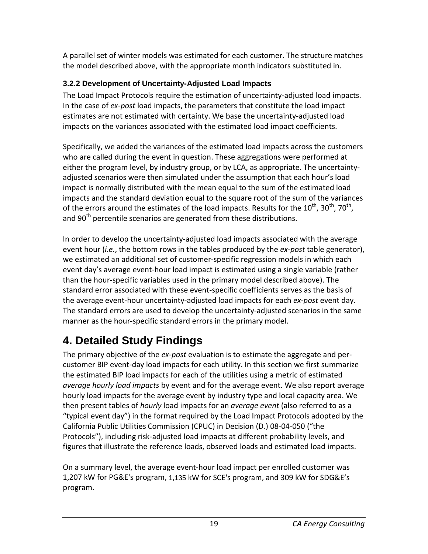A parallel set of winter models was estimated for each customer. The structure matches the model described above, with the appropriate month indicators substituted in.

### <span id="page-24-0"></span>**3.2.2 Development of Uncertainty-Adjusted Load Impacts**

The Load Impact Protocols require the estimation of uncertainty-adjusted load impacts. In the case of *ex-post* load impacts, the parameters that constitute the load impact estimates are not estimated with certainty. We base the uncertainty-adjusted load impacts on the variances associated with the estimated load impact coefficients.

Specifically, we added the variances of the estimated load impacts across the customers who are called during the event in question. These aggregations were performed at either the program level, by industry group, or by LCA, as appropriate. The uncertaintyadjusted scenarios were then simulated under the assumption that each hour's load impact is normally distributed with the mean equal to the sum of the estimated load impacts and the standard deviation equal to the square root of the sum of the variances of the errors around the estimates of the load impacts. Results for the  $10^{th}$ ,  $30^{th}$ ,  $70^{th}$ , and 90<sup>th</sup> percentile scenarios are generated from these distributions.

In order to develop the uncertainty-adjusted load impacts associated with the average event hour (*i.e.*, the bottom rows in the tables produced by the *ex-post* table generator), we estimated an additional set of customer-specific regression models in which each event day's average event-hour load impact is estimated using a single variable (rather than the hour-specific variables used in the primary model described above). The standard error associated with these event-specific coefficients serves as the basis of the average event-hour uncertainty-adjusted load impacts for each *ex-post* event day. The standard errors are used to develop the uncertainty-adjusted scenarios in the same manner as the hour-specific standard errors in the primary model.

# <span id="page-24-1"></span>**4. Detailed Study Findings**

The primary objective of the *ex-post* evaluation is to estimate the aggregate and percustomer BIP event-day load impacts for each utility. In this section we first summarize the estimated BIP load impacts for each of the utilities using a metric of estimated *average hourly load impacts* by event and for the average event. We also report average hourly load impacts for the average event by industry type and local capacity area. We then present tables of *hourly* load impacts for an *average event* (also referred to as a "typical event day") in the format required by the Load Impact Protocols adopted by the California Public Utilities Commission (CPUC) in Decision (D.) 08-04-050 ("the Protocols"), including risk-adjusted load impacts at different probability levels, and figures that illustrate the reference loads, observed loads and estimated load impacts.

On a summary level, the average event-hour load impact per enrolled customer was 1,207 kW for PG&E's program, 1,135 kW for SCE's program, and 309 kW for SDG&E's program.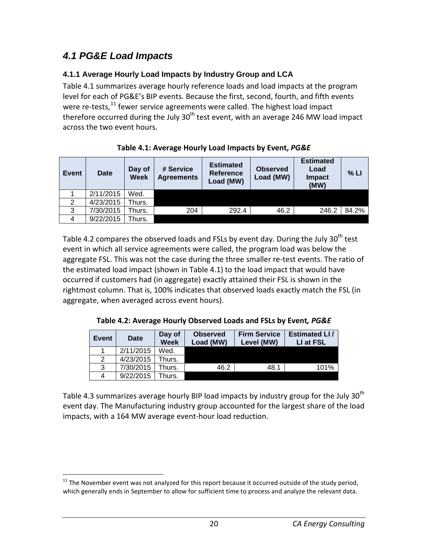# <span id="page-25-0"></span>*4.1 PG&E Load Impacts*

#### <span id="page-25-1"></span>**4.1.1 Average Hourly Load Impacts by Industry Group and LCA**

Table 4.1 summarizes average hourly reference loads and load impacts at the program level for each of PG&E's BIP events. Because the first, second, fourth, and fifth events were re-tests,<sup>[11](#page-25-4)</sup> fewer service agreements were called. The highest load impact therefore occurred during the July  $30<sup>th</sup>$  test event, with an average 246 MW load impact across the two event hours.

<span id="page-25-2"></span>

| Event | <b>Date</b> | Day of<br><b>Week</b> | # Service<br><b>Agreements</b> | <b>Estimated</b><br><b>Reference</b><br>Load (MW) | <b>Observed</b><br>Load (MW) | <b>Estimated</b><br>Load<br><b>Impact</b><br>(MW) | % LI  |
|-------|-------------|-----------------------|--------------------------------|---------------------------------------------------|------------------------------|---------------------------------------------------|-------|
|       | 2/11/2015   | Wed.                  |                                |                                                   |                              |                                                   |       |
| 2     | 4/23/2015   | Thurs.                |                                |                                                   |                              |                                                   |       |
| 3     | 7/30/2015   | Thurs.                | 204                            | 292.4                                             | 46.2                         | 246.2                                             | 84.2% |
| 4     | 9/22/2015   | Thurs.                |                                |                                                   |                              |                                                   |       |

Table 4.2 compares the observed loads and FSLs by event day. During the July 30<sup>th</sup> test event in which all service agreements were called, the program load was below the aggregate FSL. This was not the case during the three smaller re-test events. The ratio of the estimated load impact (shown in Table 4.1) to the load impact that would have occurred if customers had (in aggregate) exactly attained their FSL is shown in the rightmost column. That is, 100% indicates that observed loads exactly match the FSL (in aggregate, when averaged across event hours).

**Table 4.2: Average Hourly Observed Loads and FSLs by Event***, PG&E*

<span id="page-25-3"></span>

| Event | Date      | Day of<br><b>Week</b> | <b>Observed</b><br>Load (MW) | <b>Firm Service</b><br>Level (MW) | <b>Estimated LI/</b><br>LI at FSL |
|-------|-----------|-----------------------|------------------------------|-----------------------------------|-----------------------------------|
|       | 2/11/2015 | Wed.                  |                              |                                   |                                   |
| 2     | 4/23/2015 | Thurs.                |                              |                                   |                                   |
| 3     | 7/30/2015 | Thurs.                | 46.2                         | 48.1                              | 101%                              |
| 4     | 9/22/2015 | hurs.                 |                              |                                   |                                   |

Table 4.3 summarizes average hourly BIP load impacts by industry group for the July  $30<sup>th</sup>$ event day. The Manufacturing industry group accounted for the largest share of the load impacts, with a 164 MW average event-hour load reduction.

<span id="page-25-4"></span> $11$  The November event was not analyzed for this report because it occurred outside of the study period, which generally ends in September to allow for sufficient time to process and analyze the relevant data.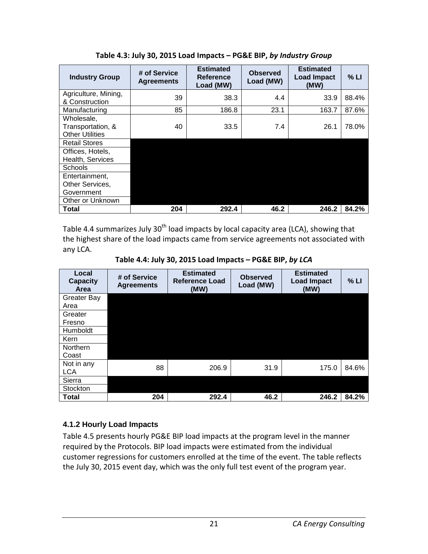<span id="page-26-1"></span>

| <b>Industry Group</b>                                     | # of Service<br><b>Agreements</b> | <b>Estimated</b><br><b>Reference</b><br>Load (MW) | <b>Observed</b><br>Load (MW) | <b>Estimated</b><br><b>Load Impact</b><br>(MW) | % LI  |
|-----------------------------------------------------------|-----------------------------------|---------------------------------------------------|------------------------------|------------------------------------------------|-------|
| Agriculture, Mining,<br>& Construction                    | 39                                | 38.3                                              | 4.4                          | 33.9                                           | 88.4% |
| Manufacturing                                             | 85                                | 186.8                                             | 23.1                         | 163.7                                          | 87.6% |
| Wholesale,<br>Transportation, &<br><b>Other Utilities</b> | 40                                | 33.5                                              | 7.4                          | 26.1                                           | 78.0% |
| <b>Retail Stores</b>                                      |                                   |                                                   |                              |                                                |       |
| Offices, Hotels,<br>Health, Services                      |                                   |                                                   |                              |                                                |       |
| <b>Schools</b>                                            |                                   |                                                   |                              |                                                |       |
| Entertainment,                                            |                                   |                                                   |                              |                                                |       |
| Other Services,                                           |                                   |                                                   |                              |                                                |       |
| Government                                                |                                   |                                                   |                              |                                                |       |
| Other or Unknown                                          |                                   |                                                   |                              |                                                |       |
| Total                                                     | 204                               | 292.4                                             | 46.2                         | 246.2                                          | 84.2% |

**Table 4.3: July 30, 2015 Load Impacts – PG&E BIP,** *by Industry Group*

Table 4.4 summarizes July 30<sup>th</sup> load impacts by local capacity area (LCA), showing that the highest share of the load impacts came from service agreements not associated with any LCA.

**Table 4.4: July 30, 2015 Load Impacts – PG&E BIP,** *by LCA*

<span id="page-26-2"></span>

| Local<br><b>Capacity</b><br>Area | # of Service<br><b>Agreements</b> | <b>Estimated</b><br><b>Reference Load</b><br>(MW) | <b>Observed</b><br>Load (MW) | <b>Estimated</b><br><b>Load Impact</b><br>(MW) | % LI  |
|----------------------------------|-----------------------------------|---------------------------------------------------|------------------------------|------------------------------------------------|-------|
| <b>Greater Bay</b>               |                                   |                                                   |                              |                                                |       |
| Area                             |                                   |                                                   |                              |                                                |       |
| Greater                          |                                   |                                                   |                              |                                                |       |
| Fresno                           |                                   |                                                   |                              |                                                |       |
| Humboldt                         |                                   |                                                   |                              |                                                |       |
| Kern                             |                                   |                                                   |                              |                                                |       |
| <b>Northern</b>                  |                                   |                                                   |                              |                                                |       |
| Coast                            |                                   |                                                   |                              |                                                |       |
| Not in any                       | 88                                | 206.9                                             | 31.9                         | 175.0                                          | 84.6% |
| <b>LCA</b>                       |                                   |                                                   |                              |                                                |       |
| Sierra                           |                                   |                                                   |                              |                                                |       |
| Stockton                         |                                   |                                                   |                              |                                                |       |
| <b>Total</b>                     | 204                               | 292.4                                             | 46.2                         | 246.2                                          | 84.2% |

#### <span id="page-26-0"></span>**4.1.2 Hourly Load Impacts**

Table 4.5 presents hourly PG&E BIP load impacts at the program level in the manner required by the Protocols. BIP load impacts were estimated from the individual customer regressions for customers enrolled at the time of the event. The table reflects the July 30, 2015 event day, which was the only full test event of the program year.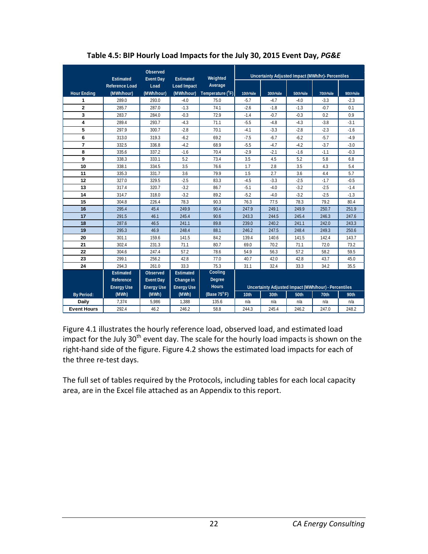<span id="page-27-0"></span>

|                    | Estimated         | Observed<br><b>Event Day</b> | Estimated          | Weighted                  |          | Uncertainty Adjusted Impact (MWh/hr)- Percentiles    |          |          |          |
|--------------------|-------------------|------------------------------|--------------------|---------------------------|----------|------------------------------------------------------|----------|----------|----------|
|                    | Reference Load    | Load                         | <b>Load Impact</b> | Average                   |          |                                                      |          |          |          |
| <b>Hour Ending</b> | (MWh/hour)        | (MWh/hour)                   | (MWh/hour)         | Temperature $(^{\circ}F)$ | 10th%ile | 30th%ile                                             | 50th%ile | 70th%ile | 90th%ile |
| 1                  | 289.0             | 293.0                        | $-4.0$             | 75.0                      | $-5.7$   | $-4.7$                                               | $-4.0$   | $-3.3$   | $-2.3$   |
| $\mathbf{2}$       | 285.7             | 287.0                        | $-1.3$             | 74.1                      | $-2.6$   | $-1.8$                                               | $-1.3$   | $-0.7$   | 0.1      |
| 3                  | 283.7             | 284.0                        | $-0.3$             | 72.9                      | $-1.4$   | $-0.7$                                               | $-0.3$   | 0.2      | 0.9      |
| 4                  | 289.4             | 293.7                        | $-4.3$             | 71.1                      | $-5.5$   | $-4.8$                                               | $-4.3$   | $-3.8$   | $-3.1$   |
| 5                  | 297.9             | 300.7                        | $-2.8$             | 70.1                      | $-4.1$   | $-3.3$                                               | $-2.8$   | $-2.3$   | $-1.6$   |
| 6                  | 313.0             | 319.3                        | $-6.2$             | 69.2                      | $-7.5$   | $-6.7$                                               | $-6.2$   | $-5.7$   | $-4.9$   |
| 7                  | 332.5             | 336.8                        | $-4.2$             | 68.9                      | $-5.5$   | $-4.7$                                               | $-4.2$   | $-3.7$   | $-3.0$   |
| 8                  | 335.6             | 337.2                        | $-1.6$             | 70.4                      | $-2.9$   | $-2.1$                                               | $-1.6$   | $-1.1$   | $-0.3$   |
| 9                  | 338.3             | 333.1                        | 5.2                | 73.4                      | 3.5      | 4.5                                                  | 5.2      | 5.8      | 6.8      |
| 10                 | 338.1             | 334.5                        | 3.5                | 76.6                      | 1.7      | 2.8                                                  | 3.5      | 4.3      | 5.4      |
| 11                 | 335.3             | 331.7                        | 3.6                | 79.9                      | 1.5      | 2.7                                                  | 3.6      | 4.4      | 5.7      |
| 12                 | 327.0             | 329.5                        | $-2.5$             | 83.3                      | $-4.5$   | $-3.3$                                               | $-2.5$   | $-1.7$   | $-0.5$   |
| 13                 | 317.4             | 320.7                        | $-3.2$             | 86.7                      | $-5.1$   | $-4.0$                                               | $-3.2$   | $-2.5$   | $-1.4$   |
| 14                 | 314.7             | 318.0                        | $-3.2$             | 89.2                      | $-5.2$   | $-4.0$                                               | $-3.2$   | $-2.5$   | $-1.3$   |
| 15                 | 304.8             | 226.4                        | 78.3               | 90.3                      | 76.3     | 77.5                                                 | 78.3     | 79.2     | 80.4     |
| 16                 | 295.4             | 45.4                         | 249.9              | 90.4                      | 247.9    | 249.1                                                | 249.9    | 250.7    | 251.9    |
| 17                 | 291.5             | 46.1                         | 245.4              | 90.6                      | 243.3    | 244.5                                                | 245.4    | 246.3    | 247.6    |
| 18                 | 287.6             | 46.5                         | 241.1              | 89.8                      | 239.0    | 240.2                                                | 241.1    | 242.0    | 243.3    |
| 19                 | 295.3             | 46.9                         | 248.4              | 88.1                      | 246.2    | 247.5                                                | 248.4    | 249.3    | 250.6    |
| 20                 | 301.1             | 159.6                        | 141.5              | 84.2                      | 139.4    | 140.6                                                | 141.5    | 142.4    | 143.7    |
| 21                 | 302.4             | 231.3                        | 71.1               | 80.7                      | 69.0     | 70.2                                                 | 71.1     | 72.0     | 73.2     |
| 22                 | 304.6             | 247.4                        | 57.2               | 78.6                      | 54.9     | 56.3                                                 | 57.2     | 58.2     | 59.5     |
| 23                 | 299.1             | 256.2                        | 42.8               | 77.0                      | 40.7     | 42.0                                                 | 42.8     | 43.7     | 45.0     |
| 24                 | 294.3             | 261.0                        | 33.3               | 75.3                      | 31.1     | 32.4                                                 | 33.3     | 34.2     | 35.5     |
|                    | Estimated         | Observed                     | <b>Estimated</b>   | Cooling                   |          |                                                      |          |          |          |
|                    | Reference         | <b>Event Day</b>             | Change in          | <b>Degree</b>             |          |                                                      |          |          |          |
|                    | <b>Energy Use</b> | <b>Energy Use</b>            | <b>Energy Use</b>  | <b>Hours</b>              |          | Uncertainty Adjusted Impact (MWh/hour) - Percentiles |          |          |          |
| <b>By Period:</b>  | (MWh)             | (MWh)                        | (MWh)              | (Base $75^{\circ}$ F)     | 10th     | 30th                                                 | 50th     | 70th     | 90th     |
| <b>Daily</b>       | 7,374             | 5,986                        | 1,388              | 135.6                     | n/a      | n/a                                                  | n/a      | n/a      | n/a      |
| <b>Event Hours</b> | 292.4             | 46.2                         | 246.2              | 58.8                      | 244.3    | 245.4                                                | 246.2    | 247.0    | 248.2    |

**Table 4.5: BIP Hourly Load Impacts for the July 30, 2015 Event Day,** *PG&E*

Figure 4.1 illustrates the hourly reference load, observed load, and estimated load impact for the July 30<sup>th</sup> event day. The scale for the hourly load impacts is shown on the right-hand side of the figure. Figure 4.2 shows the estimated load impacts for each of the three re-test days.

The full set of tables required by the Protocols, including tables for each local capacity area, are in the Excel file attached as an Appendix to this report.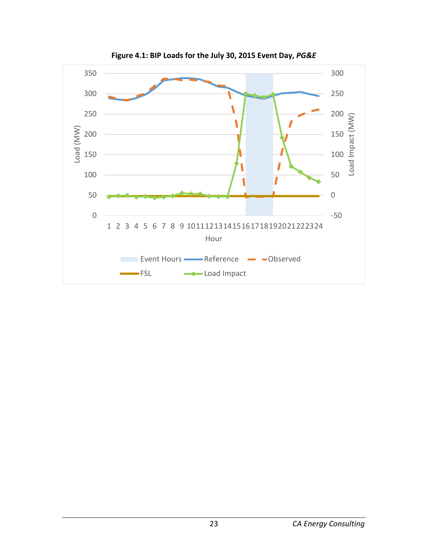<span id="page-28-0"></span>

**Figure 4.1: BIP Loads for the July 30, 2015 Event Day,** *PG&E*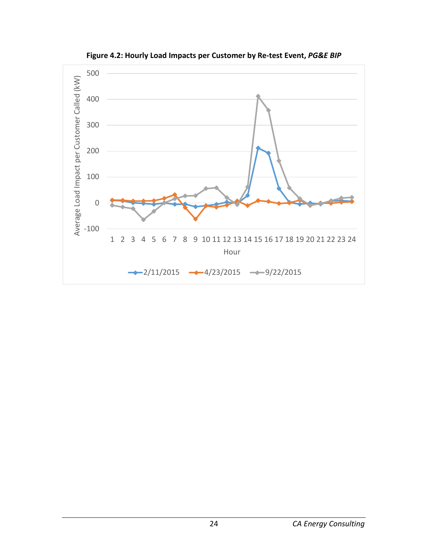<span id="page-29-0"></span>

**Figure 4.2: Hourly Load Impacts per Customer by Re-test Event,** *PG&E BIP*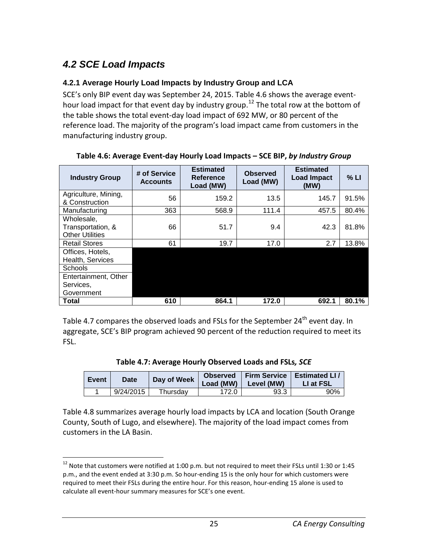# <span id="page-30-0"></span>*4.2 SCE Load Impacts*

#### <span id="page-30-1"></span>**4.2.1 Average Hourly Load Impacts by Industry Group and LCA**

SCE's only BIP event day was September 24, 2015. Table 4.6 shows the average event-hour load impact for that event day by industry group.<sup>[12](#page-30-4)</sup> The total row at the bottom of the table shows the total event-day load impact of 692 MW, or 80 percent of the reference load. The majority of the program's load impact came from customers in the manufacturing industry group.

| <b>Industry Group</b>  | # of Service<br><b>Accounts</b> | <b>Estimated</b><br>Reference<br>Load (MW) | <b>Observed</b><br>Load (MW) | <b>Estimated</b><br><b>Load Impact</b><br>(MW) | % LI  |
|------------------------|---------------------------------|--------------------------------------------|------------------------------|------------------------------------------------|-------|
| Agriculture, Mining,   | 56                              | 159.2                                      | 13.5                         | 145.7                                          | 91.5% |
| & Construction         |                                 |                                            |                              |                                                |       |
| Manufacturing          | 363                             | 568.9                                      | 111.4                        | 457.5                                          | 80.4% |
| Wholesale,             |                                 |                                            |                              |                                                |       |
| Transportation, &      | 66                              | 51.7                                       | 9.4                          | 42.3                                           | 81.8% |
| <b>Other Utilities</b> |                                 |                                            |                              |                                                |       |
| <b>Retail Stores</b>   | 61                              | 19.7                                       | 17.0                         | 2.7                                            | 13.8% |
| Offices, Hotels,       |                                 |                                            |                              |                                                |       |
| Health, Services       |                                 |                                            |                              |                                                |       |
| Schools                |                                 |                                            |                              |                                                |       |
| Entertainment, Other   |                                 |                                            |                              |                                                |       |
| Services,              |                                 |                                            |                              |                                                |       |
| Government             |                                 |                                            |                              |                                                |       |
| <b>Total</b>           | 610                             | 864.1                                      | 172.0                        | 692.1                                          | 80.1% |

<span id="page-30-2"></span>**Table 4.6: Average Event-day Hourly Load Impacts – SCE BIP,** *by Industry Group*

Table 4.7 compares the observed loads and FSLs for the September  $24<sup>th</sup>$  event day. In aggregate, SCE's BIP program achieved 90 percent of the reduction required to meet its FSL.

| Table 4.7: Average Hourly Observed Loads and FSLs, SCE |  |  |
|--------------------------------------------------------|--|--|
|                                                        |  |  |

<span id="page-30-3"></span>

| <b>Event</b> | Date      | Day of Week | <b>Observed</b><br>Load (MW) $\vert$ | Level (MW) | Firm Service   Estimated LI /<br>LI at FSL |
|--------------|-----------|-------------|--------------------------------------|------------|--------------------------------------------|
|              | 9/24/2015 | Thursdav    | 172.0                                | 93.3       | 90%                                        |

Table 4.8 summarizes average hourly load impacts by LCA and location (South Orange County, South of Lugo, and elsewhere). The majority of the load impact comes from customers in the LA Basin.

<span id="page-30-4"></span><sup>&</sup>lt;sup>12</sup> Note that customers were notified at 1:00 p.m. but not required to meet their FSLs until 1:30 or 1:45 p.m., and the event ended at 3:30 p.m. So hour-ending 15 is the only hour for which customers were required to meet their FSLs during the entire hour. For this reason, hour-ending 15 alone is used to calculate all event-hour summary measures for SCE's one event.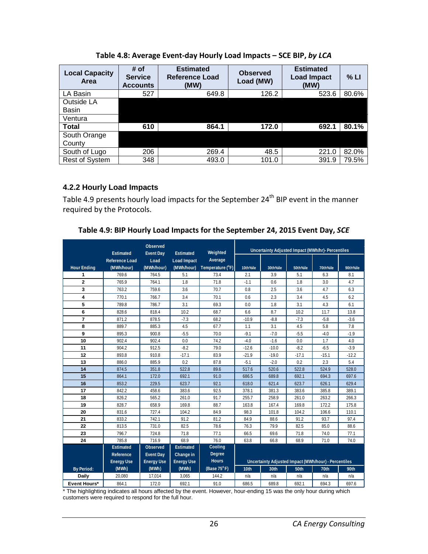<span id="page-31-1"></span>

| <b>Local Capacity</b><br>Area | # of<br><b>Service</b><br><b>Accounts</b> | <b>Estimated</b><br><b>Reference Load</b><br>(MW) | <b>Observed</b><br>Load (MW) | <b>Estimated</b><br><b>Load Impact</b><br>(MW) | $%$ LI |
|-------------------------------|-------------------------------------------|---------------------------------------------------|------------------------------|------------------------------------------------|--------|
| LA Basin                      | 527                                       | 649.8                                             | 126.2                        | 523.6                                          | 80.6%  |
| Outside LA                    |                                           |                                                   |                              |                                                |        |
| <b>Basin</b>                  |                                           |                                                   |                              |                                                |        |
| Ventura                       |                                           |                                                   |                              |                                                |        |
| <b>Total</b>                  | 610                                       | 864.1                                             | 172.0                        | 692.1                                          | 80.1%  |
| South Orange                  |                                           |                                                   |                              |                                                |        |
| County                        |                                           |                                                   |                              |                                                |        |
| South of Lugo                 | 206                                       | 269.4                                             | 48.5                         | 221.0                                          | 82.0%  |
| <b>Rest of System</b>         | 348                                       | 493.0                                             | 101.0                        | 391.9                                          | 79.5%  |

**Table 4.8: Average Event-day Hourly Load Impacts – SCE BIP,** *by LCA*

#### <span id="page-31-0"></span>**4.2.2 Hourly Load Impacts**

Table 4.9 presents hourly load impacts for the September 24<sup>th</sup> BIP event in the manner required by the Protocols.

<span id="page-31-2"></span>

|  |  | Table 4.9: BIP Hourly Load Impacts for the September 24, 2015 Event Day, SCE |
|--|--|------------------------------------------------------------------------------|
|  |  |                                                                              |

|                    | Observed<br>Weighted<br><b>Estimated</b> |                          |                                 | Uncertainty Adjusted Impact (MWh/hr)- Percentiles |          |                                                      |          |          |          |
|--------------------|------------------------------------------|--------------------------|---------------------------------|---------------------------------------------------|----------|------------------------------------------------------|----------|----------|----------|
|                    | <b>Reference Load</b>                    | <b>Event Day</b><br>Load | Estimated<br><b>Load Impact</b> | Average                                           |          |                                                      |          |          |          |
| <b>Hour Ending</b> | (MWh/hour)                               | (MWh/hour)               | (MWh/hour)                      | Temperature (°F)                                  | 10th%ile | 30th%ile                                             | 50th%ile | 70th%ile | 90th%ile |
| 1                  | 769.6                                    | 764.5                    | 5.1                             | 73.4                                              | 2.1      | 3.9                                                  | 5.1      | 6.3      | 8.1      |
| $\overline{2}$     | 765.9                                    | 764.1                    | 1.8                             | 71.8                                              | $-1.1$   | 0.6                                                  | 1.8      | 3.0      | 4.7      |
| 3                  | 763.2                                    | 759.6                    | 3.6                             | 70.7                                              | 0.8      | 2.5                                                  | 3.6      | 4.7      | 6.3      |
| 4                  | 770.1                                    | 766.7                    | 3.4                             | 70.1                                              | 0.6      | 2.3                                                  | 3.4      | 4.5      | 6.2      |
| 5                  | 789.8                                    | 786.7                    | 3.1                             | 69.3                                              | 0.0      | 1.8                                                  | 3.1      | 4.3      | 6.1      |
| 6                  | 828.6                                    | 818.4                    | 10.2                            | 68.7                                              | 6.6      | 8.7                                                  | 10.2     | 11.7     | 13.8     |
| $\overline{7}$     | 871.2                                    | 878.5                    | $-7.3$                          | 68.2                                              | $-10.9$  | $-8.8$                                               | $-7.3$   | $-5.8$   | $-3.6$   |
| 8                  | 889.7                                    | 885.3                    | 4.5                             | 67.7                                              | 1.1      | 3.1                                                  | 4.5      | 5.8      | 7.8      |
| 9                  | 895.3                                    | 900.8                    | $-5.5$                          | 70.0                                              | $-9.1$   | $-7.0$                                               | $-5.5$   | $-4.0$   | $-1.9$   |
| 10                 | 902.4                                    | 902.4                    | 0.0                             | 74.2                                              | $-4.0$   | $-1.6$                                               | 0.0      | 1.7      | 4.0      |
| 11                 | 904.2                                    | 912.5                    | $-8.2$                          | 79.0                                              | $-12.6$  | $-10.0$                                              | $-8.2$   | $-6.5$   | $-3.9$   |
| 12                 | 893.8                                    | 910.8                    | $-17.1$                         | 83.9                                              | $-21.9$  | $-19.0$                                              | $-17.1$  | $-15.1$  | $-12.2$  |
| 13                 | 886.0                                    | 885.9                    | 0.2                             | 87.8                                              | $-5.1$   | $-2.0$                                               | 0.2      | 2.3      | 5.4      |
| 14                 | 874.5                                    | 351.8                    | 522.8                           | 89.6                                              | 517.6    | 520.6                                                | 522.8    | 524.9    | 528.0    |
| 15                 | 864.1                                    | 172.0                    | 692.1                           | 91.0                                              | 686.5    | 689.8                                                | 692.1    | 694.3    | 697.6    |
| 16                 | 853.2                                    | 229.5                    | 623.7                           | 92.1                                              | 618.0    | 621.4                                                | 623.7    | 626.1    | 629.4    |
| 17                 | 842.2                                    | 458.6                    | 383.6                           | 92.5                                              | 378.1    | 381.3                                                | 383.6    | 385.8    | 389.1    |
| 18                 | 826.2                                    | 565.2                    | 261.0                           | 91.7                                              | 255.7    | 258.9                                                | 261.0    | 263.2    | 266.3    |
| 19                 | 828.7                                    | 658.9                    | 169.8                           | 88.7                                              | 163.8    | 167.4                                                | 169.8    | 172.2    | 175.8    |
| 20                 | 831.6                                    | 727.4                    | 104.2                           | 84.9                                              | 98.3     | 101.8                                                | 104.2    | 106.6    | 110.1    |
| 21                 | 833.2                                    | 742.1                    | 91.2                            | 81.2                                              | 84.9     | 88.6                                                 | 91.2     | 93.7     | 97.4     |
| 22                 | 813.5                                    | 731.0                    | 82.5                            | 78.6                                              | 76.3     | 79.9                                                 | 82.5     | 85.0     | 88.6     |
| 23                 | 796.7                                    | 724.8                    | 71.8                            | 77.1                                              | 66.5     | 69.6                                                 | 71.8     | 74.0     | 77.1     |
| 24                 | 785.8                                    | 716.9                    | 68.9                            | 76.0                                              | 63.8     | 66.8                                                 | 68.9     | 71.0     | 74.0     |
|                    | Estimated                                | Observed                 | Estimated                       | Cooling                                           |          |                                                      |          |          |          |
|                    | Reference                                | <b>Event Day</b>         | Change in                       | Degree                                            |          |                                                      |          |          |          |
|                    | <b>Energy Use</b>                        | <b>Energy Use</b>        | <b>Energy Use</b>               | <b>Hours</b>                                      |          | Uncertainty Adjusted Impact (MWh/hour) - Percentiles |          |          |          |
| <b>By Period:</b>  | (MWh)                                    | (MWh)                    | (MWh)                           | (Base $75^{\circ}$ F)                             | 10th     | 30th                                                 | 50th     | 70th     | 90th     |
| Daily              | 20.080                                   | 17,014                   | 3,065                           | 144.2                                             | n/a      | n/a                                                  | n/a      | n/a      | n/a      |
| Event Hours*       | 864.1                                    | 172.0                    | 692.1                           | 91.0                                              | 686.5    | 689.8                                                | 692.1    | 694.3    | 697.6    |

\* The highlighting indicates all hours affected by the event. However, hour-ending 15 was the only hour during which customers were required to respond for the full hour.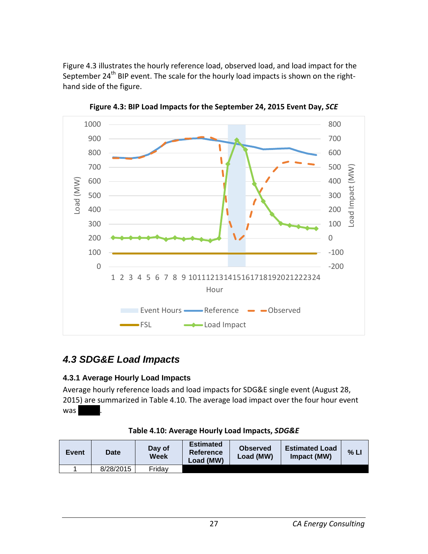Figure 4.3 illustrates the hourly reference load, observed load, and load impact for the September 24<sup>th</sup> BIP event. The scale for the hourly load impacts is shown on the righthand side of the figure.

<span id="page-32-3"></span>

**Figure 4.3: BIP Load Impacts for the September 24, 2015 Event Day,** *SCE*

## <span id="page-32-0"></span>*4.3 SDG&E Load Impacts*

#### <span id="page-32-1"></span>**4.3.1 Average Hourly Load Impacts**

Average hourly reference loads and load impacts for SDG&E single event (August 28, 2015) are summarized in Table 4.10. The average load impact over the four hour event was **XXXX** 

<span id="page-32-2"></span>

| <b>Event</b> | Date      | Day of<br>Week | <b>Estimated</b><br><b>Reference</b><br>Load (MW) | <b>Observed</b><br>Load (MW) | <b>Estimated Load</b><br>Impact (MW) | % LI |
|--------------|-----------|----------------|---------------------------------------------------|------------------------------|--------------------------------------|------|
|              | 8/28/2015 | Fridav         |                                                   |                              |                                      |      |

|  | Table 4.10: Average Hourly Load Impacts, SDG&E |  |
|--|------------------------------------------------|--|
|  |                                                |  |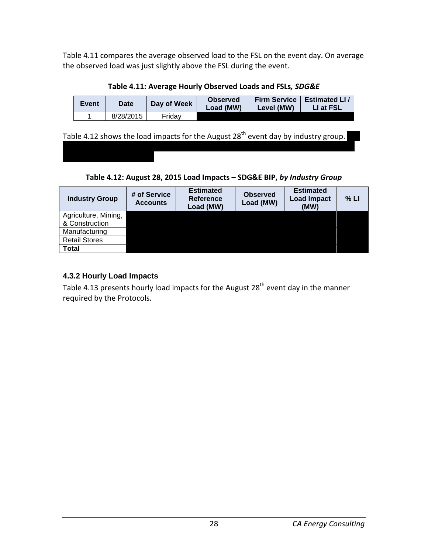Table 4.11 compares the average observed load to the FSL on the event day. On average the observed load was just slightly above the FSL during the event.

**Table 4.11: Average Hourly Observed Loads and FSLs***, SDG&E*

<span id="page-33-1"></span>

| <b>Event</b> | Date      | Day of Week | <b>Observed</b><br>Load (MW) | <b>Firm Service</b><br>Level (MW) | <b>Estimated LI</b><br>LI at FSL |
|--------------|-----------|-------------|------------------------------|-----------------------------------|----------------------------------|
|              | 8/28/2015 | Fridav      |                              |                                   |                                  |

Table 4.12 shows the load impacts for the August 28<sup>th</sup> event day by industry group.

**Table 4.12: August 28, 2015 Load Impacts – SDG&E BIP,** *by Industry Group*

<span id="page-33-2"></span>

| <b>Industry Group</b> | # of Service<br><b>Accounts</b> | <b>Estimated</b><br>Reference<br>Load (MW) | <b>Observed</b><br>Load (MW) | <b>Estimated</b><br><b>Load Impact</b><br>(MW) | % LI |
|-----------------------|---------------------------------|--------------------------------------------|------------------------------|------------------------------------------------|------|
| Agriculture, Mining,  |                                 |                                            |                              |                                                |      |
| & Construction        |                                 |                                            |                              |                                                |      |
| Manufacturing         |                                 |                                            |                              |                                                |      |
| <b>Retail Stores</b>  |                                 |                                            |                              |                                                |      |
| <b>Total</b>          |                                 |                                            |                              |                                                |      |

### <span id="page-33-0"></span>**4.3.2 Hourly Load Impacts**

Table 4.13 presents hourly load impacts for the August  $28<sup>th</sup>$  event day in the manner required by the Protocols.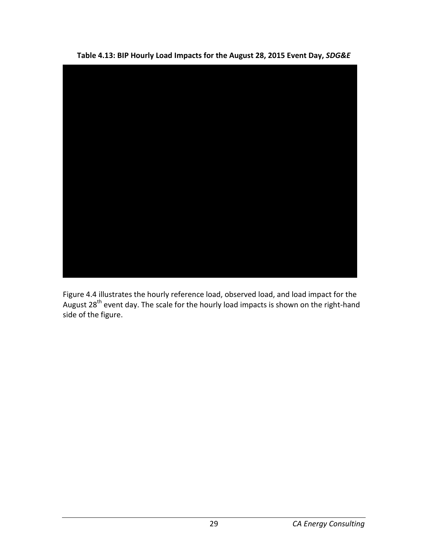<span id="page-34-0"></span>

**Table 4.13: BIP Hourly Load Impacts for the August 28, 2015 Event Day,** *SDG&E*

Figure 4.4 illustrates the hourly reference load, observed load, and load impact for the August 28<sup>th</sup> event day. The scale for the hourly load impacts is shown on the right-hand side of the figure.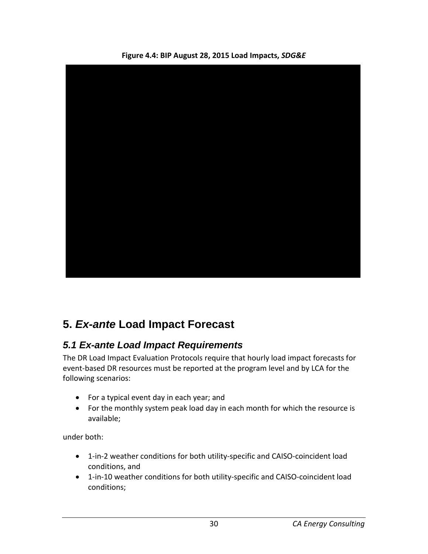<span id="page-35-2"></span>

**Figure 4.4: BIP August 28, 2015 Load Impacts,** *SDG&E*

# <span id="page-35-0"></span>**5.** *Ex-ante* **Load Impact Forecast**

## <span id="page-35-1"></span>*5.1 Ex-ante Load Impact Requirements*

The DR Load Impact Evaluation Protocols require that hourly load impact forecasts for event-based DR resources must be reported at the program level and by LCA for the following scenarios:

- For a typical event day in each year; and
- For the monthly system peak load day in each month for which the resource is available;

under both:

- 1-in-2 weather conditions for both utility-specific and CAISO-coincident load conditions, and
- 1-in-10 weather conditions for both utility-specific and CAISO-coincident load conditions;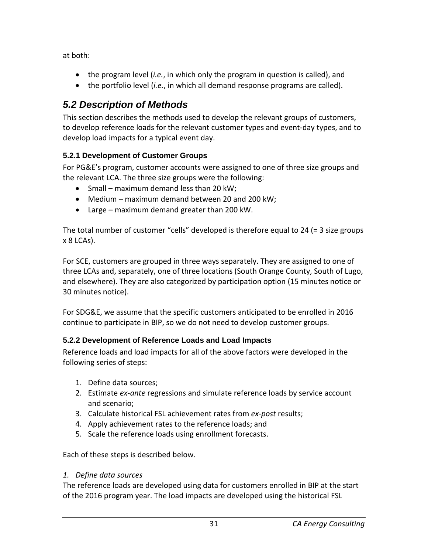at both:

- the program level (*i.e.*, in which only the program in question is called), and
- the portfolio level (*i.e.*, in which all demand response programs are called).

# *5.2 Description of Methods*

This section describes the methods used to develop the relevant groups of customers, to develop reference loads for the relevant customer types and event-day types, and to develop load impacts for a typical event day.

### **5.2.1 Development of Customer Groups**

For PG&E's program, customer accounts were assigned to one of three size groups and the relevant LCA. The three size groups were the following:

- Small maximum demand less than 20 kW;
- Medium maximum demand between 20 and 200 kW;
- Large maximum demand greater than 200 kW.

The total number of customer "cells" developed is therefore equal to 24 (= 3 size groups x 8 LCAs).

For SCE, customers are grouped in three ways separately. They are assigned to one of three LCAs and, separately, one of three locations (South Orange County, South of Lugo, and elsewhere). They are also categorized by participation option (15 minutes notice or 30 minutes notice).

For SDG&E, we assume that the specific customers anticipated to be enrolled in 2016 continue to participate in BIP, so we do not need to develop customer groups.

### **5.2.2 Development of Reference Loads and Load Impacts**

Reference loads and load impacts for all of the above factors were developed in the following series of steps:

- 1. Define data sources;
- 2. Estimate *ex-ante* regressions and simulate reference loads by service account and scenario;
- 3. Calculate historical FSL achievement rates from *ex-post* results;
- 4. Apply achievement rates to the reference loads; and
- 5. Scale the reference loads using enrollment forecasts.

Each of these steps is described below.

#### *1. Define data sources*

The reference loads are developed using data for customers enrolled in BIP at the start of the 2016 program year. The load impacts are developed using the historical FSL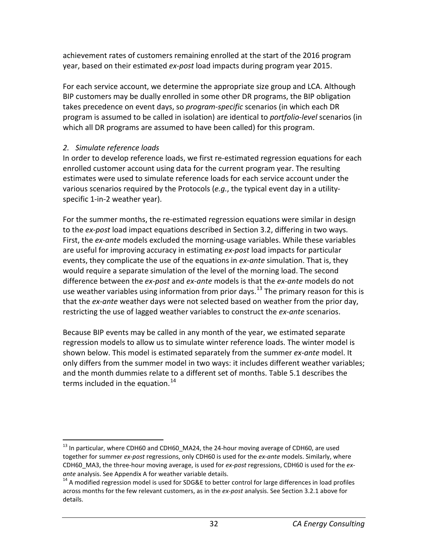achievement rates of customers remaining enrolled at the start of the 2016 program year, based on their estimated *ex-post* load impacts during program year 2015.

For each service account, we determine the appropriate size group and LCA. Although BIP customers may be dually enrolled in some other DR programs, the BIP obligation takes precedence on event days, so *program-specific* scenarios (in which each DR program is assumed to be called in isolation) are identical to *portfolio-level* scenarios (in which all DR programs are assumed to have been called) for this program.

#### *2. Simulate reference loads*

In order to develop reference loads, we first re-estimated regression equations for each enrolled customer account using data for the current program year. The resulting estimates were used to simulate reference loads for each service account under the various scenarios required by the Protocols (*e.g.*, the typical event day in a utilityspecific 1-in-2 weather year).

For the summer months, the re-estimated regression equations were similar in design to the *ex-post* load impact equations described in Section 3.2, differing in two ways. First, the *ex-ante* models excluded the morning-usage variables. While these variables are useful for improving accuracy in estimating *ex-post* load impacts for particular events, they complicate the use of the equations in *ex-ante* simulation. That is, they would require a separate simulation of the level of the morning load. The second difference between the *ex-post* and *ex-ante* models is that the *ex-ante* models do not use weather variables using information from prior days.<sup>[13](#page-37-0)</sup> The primary reason for this is that the *ex-ante* weather days were not selected based on weather from the prior day, restricting the use of lagged weather variables to construct the *ex-ante* scenarios.

Because BIP events may be called in any month of the year, we estimated separate regression models to allow us to simulate winter reference loads. The winter model is shown below. This model is estimated separately from the summer *ex-ante* model. It only differs from the summer model in two ways: it includes different weather variables; and the month dummies relate to a different set of months. Table 5.1 describes the terms included in the equation.<sup>[14](#page-37-1)</sup>

<span id="page-37-0"></span><sup>&</sup>lt;sup>13</sup> In particular, where CDH60 and CDH60\_MA24, the 24-hour moving average of CDH60, are used together for summer *ex-post* regressions, only CDH60 is used for the *ex-ante* models. Similarly, where CDH60\_MA3, the three-hour moving average, is used for *ex-post* regressions, CDH60 is used for the *ex-*

<span id="page-37-1"></span><sup>&</sup>lt;sup>14</sup> A modified regression model is used for SDG&E to better control for large differences in load profiles across months for the few relevant customers, as in the *ex-post* analysis. See Section 3.2.1 above for details.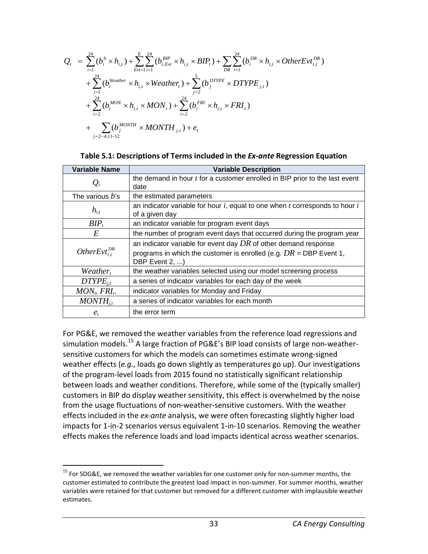$$
Q_{t} = \sum_{i=1}^{24} (b_{i}^{h} \times h_{i,t}) + \sum_{Evt=1}^{E} \sum_{i=1}^{24} (b_{i,Evt}^{BIP} \times h_{i,t} \times BIP_{t}) + \sum_{DR} \sum_{i=1}^{24} (b_{i}^{DR} \times h_{i,t} \times OtherEvt_{i,t}^{DR})
$$
  
+ 
$$
\sum_{i=1}^{24} (b_{i}^{Weather} \times h_{i,t} \times Weather_{t}) + \sum_{j=2}^{5} (b_{j}^{DTYPE} \times DTYPE_{j,t})
$$
  
+ 
$$
\sum_{i=2}^{24} (b_{i}^{MON} \times h_{i,t} \times MON_{t}) + \sum_{i=2}^{24} (b_{i}^{FRI} \times h_{i,t} \times FRI_{t})
$$
  
+ 
$$
\sum_{j=2-4,1l-12} (b_{j}^{MONTH} \times MONTH_{j,t}) + e_{t}
$$

|  |  | Table 5.1: Descriptions of Terms included in the Ex-ante Regression Equation |
|--|--|------------------------------------------------------------------------------|
|--|--|------------------------------------------------------------------------------|

| <b>Variable Name</b>   | <b>Variable Description</b>                                                        |
|------------------------|------------------------------------------------------------------------------------|
| $\mathcal{Q}_t$        | the demand in hour $t$ for a customer enrolled in BIP prior to the last event      |
|                        | date                                                                               |
| The various $b$ 's     | the estimated parameters                                                           |
|                        | an indicator variable for hour $i$ , equal to one when $t$ corresponds to hour $i$ |
| $h_{i,t}$              | of a given day                                                                     |
| $BIP_t$                | an indicator variable for program event days                                       |
| E                      | the number of program event days that occurred during the program year             |
|                        | an indicator variable for event day $DR$ of other demand response                  |
| OtherEvt <sup>DR</sup> | programs in which the customer is enrolled (e.g. $DR = DBP$ Event 1,               |
|                        | DBP Event 2, )                                                                     |
| $Weather_t$            | the weather variables selected using our model screening process                   |
| $DTYPE_{i,t}$          | a series of indicator variables for each day of the week                           |
| $MONt$ , $FRIt$ ,      | indicator variables for Monday and Friday                                          |
| $MONTH_{i}$            | a series of indicator variables for each month                                     |
| $e_t$                  | the error term                                                                     |

For PG&E, we removed the weather variables from the reference load regressions and simulation models.<sup>[15](#page-38-0)</sup> A large fraction of PG&E's BIP load consists of large non-weathersensitive customers for which the models can sometimes estimate wrong-signed weather effects (*e.g.*, loads go down slightly as temperatures go up). Our investigations of the program-level loads from 2015 found no statistically significant relationship between loads and weather conditions. Therefore, while some of the (typically smaller) customers in BIP do display weather sensitivity, this effect is overwhelmed by the noise from the usage fluctuations of non-weather-sensitive customers. With the weather effects included in the *ex-ante* analysis, we were often forecasting slightly higher load impacts for 1-in-2 scenarios versus equivalent 1-in-10 scenarios. Removing the weather effects makes the reference loads and load impacts identical across weather scenarios.

<span id="page-38-0"></span> $15$  For SDG&E, we removed the weather variables for one customer only for non-summer months, the customer estimated to contribute the greatest load impact in non-summer. For summer months, weather variables were retained for that customer but removed for a different customer with implausible weather estimates.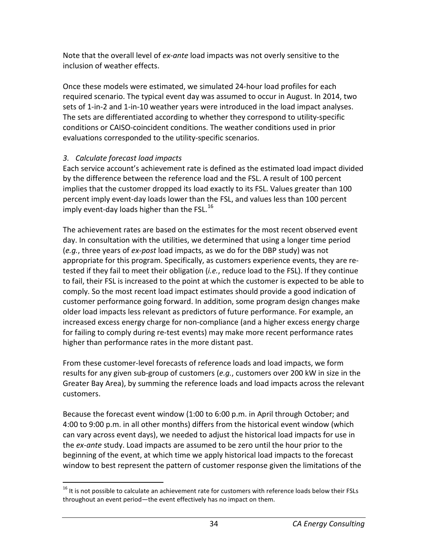Note that the overall level of *ex-ante* load impacts was not overly sensitive to the inclusion of weather effects.

Once these models were estimated, we simulated 24-hour load profiles for each required scenario. The typical event day was assumed to occur in August. In 2014, two sets of 1-in-2 and 1-in-10 weather years were introduced in the load impact analyses. The sets are differentiated according to whether they correspond to utility-specific conditions or CAISO-coincident conditions. The weather conditions used in prior evaluations corresponded to the utility-specific scenarios.

#### *3. Calculate forecast load impacts*

Each service account's achievement rate is defined as the estimated load impact divided by the difference between the reference load and the FSL. A result of 100 percent implies that the customer dropped its load exactly to its FSL. Values greater than 100 percent imply event-day loads lower than the FSL, and values less than 100 percent imply event-day loads higher than the FSL. $^{16}$  $^{16}$  $^{16}$ 

The achievement rates are based on the estimates for the most recent observed event day. In consultation with the utilities, we determined that using a longer time period (*e.g.*, three years of *ex-post* load impacts, as we do for the DBP study) was not appropriate for this program. Specifically, as customers experience events, they are retested if they fail to meet their obligation (*i.e.*, reduce load to the FSL). If they continue to fail, their FSL is increased to the point at which the customer is expected to be able to comply. So the most recent load impact estimates should provide a good indication of customer performance going forward. In addition, some program design changes make older load impacts less relevant as predictors of future performance. For example, an increased excess energy charge for non-compliance (and a higher excess energy charge for failing to comply during re-test events) may make more recent performance rates higher than performance rates in the more distant past.

From these customer-level forecasts of reference loads and load impacts, we form results for any given sub-group of customers (*e.g.*, customers over 200 kW in size in the Greater Bay Area), by summing the reference loads and load impacts across the relevant customers.

Because the forecast event window (1:00 to 6:00 p.m. in April through October; and 4:00 to 9:00 p.m. in all other months) differs from the historical event window (which can vary across event days), we needed to adjust the historical load impacts for use in the *ex-ante* study. Load impacts are assumed to be zero until the hour prior to the beginning of the event, at which time we apply historical load impacts to the forecast window to best represent the pattern of customer response given the limitations of the

<span id="page-39-0"></span> $16$  It is not possible to calculate an achievement rate for customers with reference loads below their FSLs throughout an event period—the event effectively has no impact on them.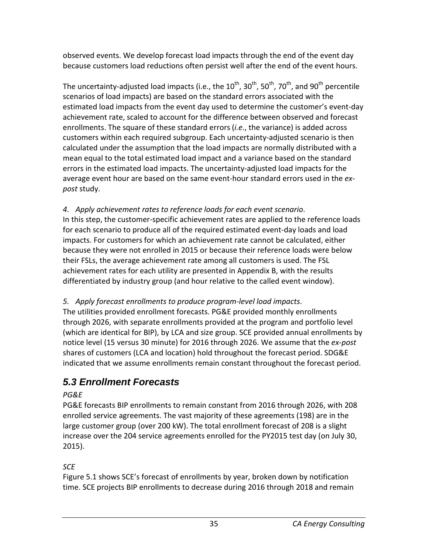observed events. We develop forecast load impacts through the end of the event day because customers load reductions often persist well after the end of the event hours.

The uncertainty-adjusted load impacts (i.e., the 10<sup>th</sup>, 30<sup>th</sup>, 50<sup>th</sup>, 70<sup>th</sup>, and 90<sup>th</sup> percentile scenarios of load impacts) are based on the standard errors associated with the estimated load impacts from the event day used to determine the customer's event-day achievement rate, scaled to account for the difference between observed and forecast enrollments. The square of these standard errors (*i.e.*, the variance) is added across customers within each required subgroup. Each uncertainty-adjusted scenario is then calculated under the assumption that the load impacts are normally distributed with a mean equal to the total estimated load impact and a variance based on the standard errors in the estimated load impacts. The uncertainty-adjusted load impacts for the average event hour are based on the same event-hour standard errors used in the *expost* study.

*4. Apply achievement rates to reference loads for each event scenario*. In this step, the customer-specific achievement rates are applied to the reference loads for each scenario to produce all of the required estimated event-day loads and load impacts. For customers for which an achievement rate cannot be calculated, either because they were not enrolled in 2015 or because their reference loads were below their FSLs, the average achievement rate among all customers is used. The FSL achievement rates for each utility are presented in Appendix B, with the results differentiated by industry group (and hour relative to the called event window).

### *5. Apply forecast enrollments to produce program-level load impacts*.

The utilities provided enrollment forecasts. PG&E provided monthly enrollments through 2026, with separate enrollments provided at the program and portfolio level (which are identical for BIP), by LCA and size group. SCE provided annual enrollments by notice level (15 versus 30 minute) for 2016 through 2026. We assume that the *ex-post* shares of customers (LCA and location) hold throughout the forecast period. SDG&E indicated that we assume enrollments remain constant throughout the forecast period.

# *5.3 Enrollment Forecasts*

### *PG&E*

PG&E forecasts BIP enrollments to remain constant from 2016 through 2026, with 208 enrolled service agreements. The vast majority of these agreements (198) are in the large customer group (over 200 kW). The total enrollment forecast of 208 is a slight increase over the 204 service agreements enrolled for the PY2015 test day (on July 30, 2015).

### *SCE*

Figure 5.1 shows SCE's forecast of enrollments by year, broken down by notification time. SCE projects BIP enrollments to decrease during 2016 through 2018 and remain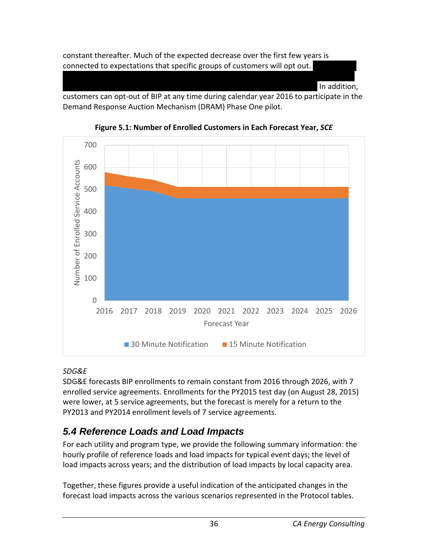constant thereafter. Much of the expected decrease over the first few years is connected to expectations that specific groups of customers will opt out.

In addition.

customers can opt-out of BIP at any time during calendar year 2016 to participate in the Demand Response Auction Mechanism (DRAM) Phase One pilot.





#### *SDG&E*

SDG&E forecasts BIP enrollments to remain constant from 2016 through 2026, with 7 enrolled service agreements. Enrollments for the PY2015 test day (on August 28, 2015) were lower, at 5 service agreements, but the forecast is merely for a return to the PY2013 and PY2014 enrollment levels of 7 service agreements.

# *5.4 Reference Loads and Load Impacts*

For each utility and program type, we provide the following summary information: the hourly profile of reference loads and load impacts for typical event days; the level of load impacts across years; and the distribution of load impacts by local capacity area.

Together, these figures provide a useful indication of the anticipated changes in the forecast load impacts across the various scenarios represented in the Protocol tables.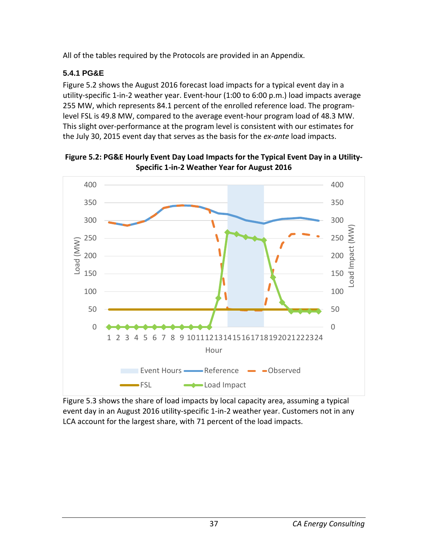All of the tables required by the Protocols are provided in an Appendix.

### **5.4.1 PG&E**

Figure 5.2 shows the August 2016 forecast load impacts for a typical event day in a utility-specific 1-in-2 weather year. Event-hour (1:00 to 6:00 p.m.) load impacts average 255 MW, which represents 84.1 percent of the enrolled reference load. The programlevel FSL is 49.8 MW, compared to the average event-hour program load of 48.3 MW. This slight over-performance at the program level is consistent with our estimates for the July 30, 2015 event day that serves as the basis for the *ex-ante* load impacts.



**Figure 5.2: PG&E Hourly Event Day Load Impacts for the Typical Event Day in a Utility-Specific 1-in-2 Weather Year for August 2016**

Figure 5.3 shows the share of load impacts by local capacity area, assuming a typical event day in an August 2016 utility-specific 1-in-2 weather year. Customers not in any LCA account for the largest share, with 71 percent of the load impacts.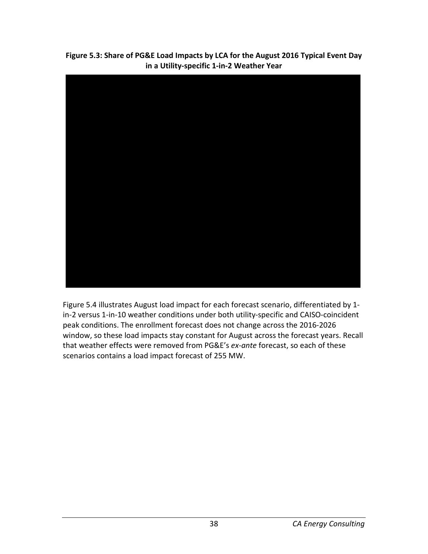**Figure 5.3: Share of PG&E Load Impacts by LCA for the August 2016 Typical Event Day in a Utility-specific 1-in-2 Weather Year**



Figure 5.4 illustrates August load impact for each forecast scenario, differentiated by 1 in-2 versus 1-in-10 weather conditions under both utility-specific and CAISO-coincident peak conditions. The enrollment forecast does not change across the 2016-2026 window, so these load impacts stay constant for August across the forecast years. Recall that weather effects were removed from PG&E's *ex-ante* forecast, so each of these scenarios contains a load impact forecast of 255 MW.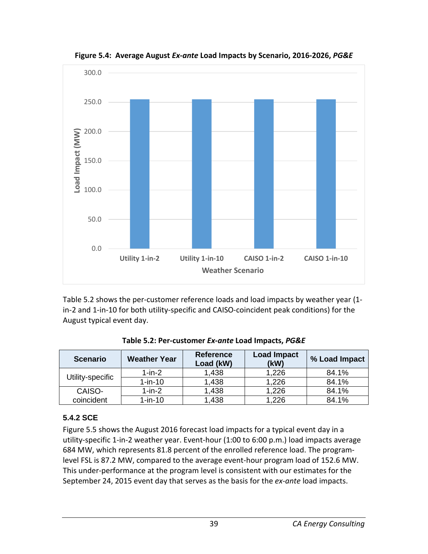

**Figure 5.4: Average August** *Ex-ante* **Load Impacts by Scenario, 2016-2026,** *PG&E*

Table 5.2 shows the per-customer reference loads and load impacts by weather year (1 in-2 and 1-in-10 for both utility-specific and CAISO-coincident peak conditions) for the August typical event day.

| <b>Scenario</b>  | <b>Weather Year</b> | <b>Reference</b><br>Load (kW) | <b>Load Impact</b><br>(kW) | % Load Impact |
|------------------|---------------------|-------------------------------|----------------------------|---------------|
| Utility-specific | $1$ -in- $2$        | 1,438                         | 1,226                      | 84.1%         |
|                  | $1-in-10$           | 1,438                         | 1,226                      | 84.1%         |
| CAISO-           | $1-in-2$            | 1,438                         | 1,226                      | 84.1%         |
| coincident       | $1-in-10$           | 1,438                         | .226                       | 84.1%         |

**Table 5.2: Per-customer** *Ex-ante* **Load Impacts,** *PG&E*

#### **5.4.2 SCE**

Figure 5.5 shows the August 2016 forecast load impacts for a typical event day in a utility-specific 1-in-2 weather year. Event-hour (1:00 to 6:00 p.m.) load impacts average 684 MW, which represents 81.8 percent of the enrolled reference load. The programlevel FSL is 87.2 MW, compared to the average event-hour program load of 152.6 MW. This under-performance at the program level is consistent with our estimates for the September 24, 2015 event day that serves as the basis for the *ex-ante* load impacts.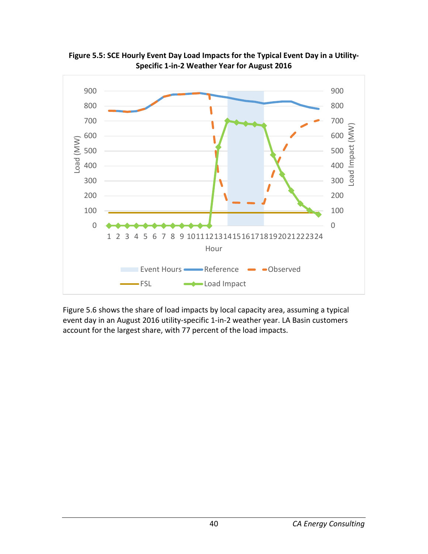

**Figure 5.5: SCE Hourly Event Day Load Impacts for the Typical Event Day in a Utility-Specific 1-in-2 Weather Year for August 2016**

Figure 5.6 shows the share of load impacts by local capacity area, assuming a typical event day in an August 2016 utility-specific 1-in-2 weather year. LA Basin customers account for the largest share, with 77 percent of the load impacts.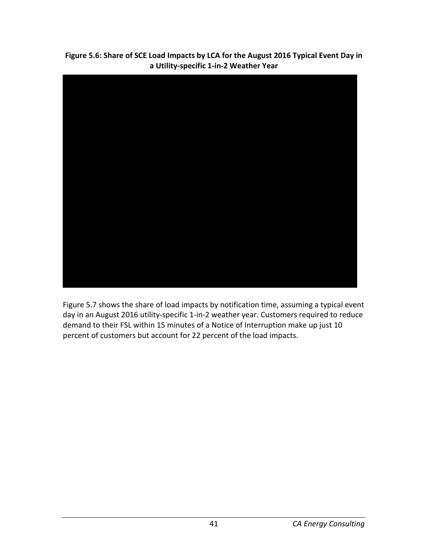**Figure 5.6: Share of SCE Load Impacts by LCA for the August 2016 Typical Event Day in a Utility-specific 1-in-2 Weather Year**



Figure 5.7 shows the share of load impacts by notification time, assuming a typical event day in an August 2016 utility-specific 1-in-2 weather year. Customers required to reduce demand to their FSL within 15 minutes of a Notice of Interruption make up just 10 percent of customers but account for 22 percent of the load impacts.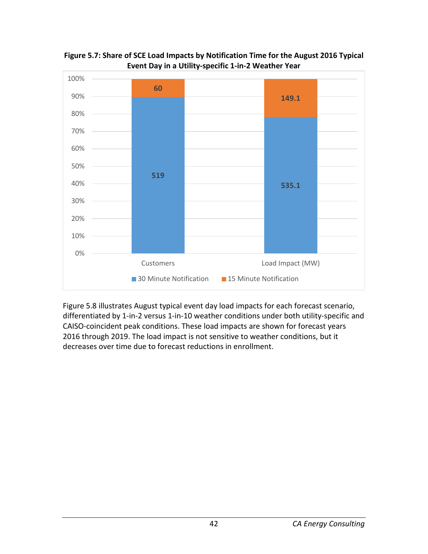

**Figure 5.7: Share of SCE Load Impacts by Notification Time for the August 2016 Typical Event Day in a Utility-specific 1-in-2 Weather Year**

Figure 5.8 illustrates August typical event day load impacts for each forecast scenario, differentiated by 1-in-2 versus 1-in-10 weather conditions under both utility-specific and CAISO-coincident peak conditions. These load impacts are shown for forecast years 2016 through 2019. The load impact is not sensitive to weather conditions, but it decreases over time due to forecast reductions in enrollment.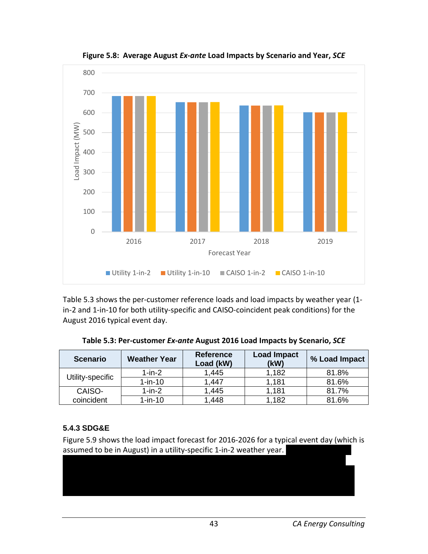

**Figure 5.8: Average August** *Ex-ante* **Load Impacts by Scenario and Year,** *SCE*

Table 5.3 shows the per-customer reference loads and load impacts by weather year (1 in-2 and 1-in-10 for both utility-specific and CAISO-coincident peak conditions) for the August 2016 typical event day.

| <b>Scenario</b>  | <b>Weather Year</b> | <b>Reference</b><br>Load (kW) | <b>Load Impact</b><br>(kW) | % Load Impact |
|------------------|---------------------|-------------------------------|----------------------------|---------------|
| Utility-specific | $1-in-2$            | 1,445                         | 1,182                      | 81.8%         |
|                  | $1-in-10$           | 1,447                         | 1,181                      | 81.6%         |
| CAISO-           | $1-in-2$            | 1,445                         | 1,181                      | 81.7%         |
| coincident       | $1-in-10$           | 1,448                         | 1,182                      | 81.6%         |

**Table 5.3: Per-customer** *Ex-ante* **August 2016 Load Impacts by Scenario,** *SCE*

#### **5.4.3 SDG&E**

Figure 5.9 shows the load impact forecast for 2016-2026 for a typical event day (which is assumed to be in August) in a utility-specific 1-in-2 weather year.

XXXXXXXXXXXXXXXXXXXXXXXXXXXXXXXXXXXXXXXXXXXXXXXXXXXXXXXXXXXXXXXXXXX XXXXXXXXXXXXXXXXXXXXXXXXXXXXXXXXXXXXXXXXXXXXXXXXXXXXXXXXXXXXXXXXXXX XXXXXXXXXXXXXXXXXXXXXXXXXXXXXXXXXXXXXXXXXXXXXXXXXXXXXXXXXXXXXXXXXXX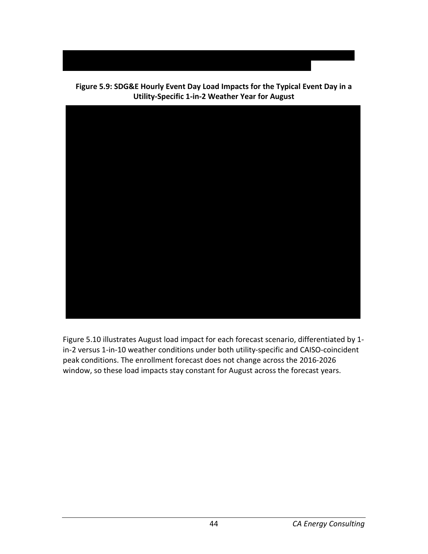

**Figure 5.9: SDG&E Hourly Event Day Load Impacts for the Typical Event Day in a Utility-Specific 1-in-2 Weather Year for August**

XXXXXXXXXXXXXXXXXXXXXXXXXXXXXXXXXXXXXXXXXXXXXXXXXXXXXXXXXXXXXXXXXXX

Figure 5.10 illustrates August load impact for each forecast scenario, differentiated by 1 in-2 versus 1-in-10 weather conditions under both utility-specific and CAISO-coincident peak conditions. The enrollment forecast does not change across the 2016-2026 window, so these load impacts stay constant for August across the forecast years.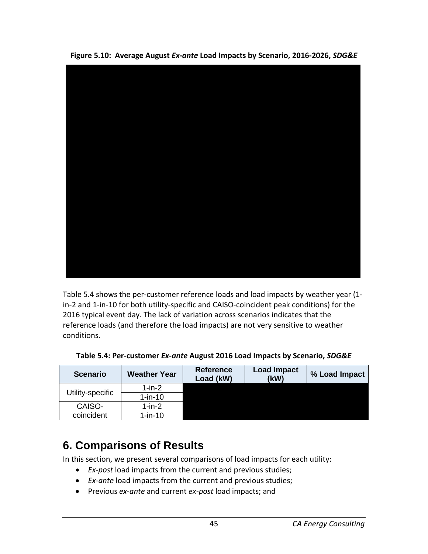

**Figure 5.10: Average August** *Ex-ante* **Load Impacts by Scenario, 2016-2026,** *SDG&E*

Table 5.4 shows the per-customer reference loads and load impacts by weather year (1 in-2 and 1-in-10 for both utility-specific and CAISO-coincident peak conditions) for the 2016 typical event day. The lack of variation across scenarios indicates that the reference loads (and therefore the load impacts) are not very sensitive to weather conditions.

| <b>Scenario</b>  | <b>Weather Year</b> | <b>Reference</b><br>Load (kW) | <b>Load Impact</b><br>(kW) | % Load Impact |
|------------------|---------------------|-------------------------------|----------------------------|---------------|
|                  | $1$ -in- $2$        |                               |                            |               |
| Utility-specific | $1$ -in-10          |                               |                            |               |
| CAISO-           | 1-in-2              |                               |                            |               |
| coincident       | 1-in-10             |                               |                            |               |

**Table 5.4: Per-customer** *Ex-ante* **August 2016 Load Impacts by Scenario,** *SDG&E*

# **6. Comparisons of Results**

In this section, we present several comparisons of load impacts for each utility:

- *Ex-post* load impacts from the current and previous studies;
- *Ex-ante* load impacts from the current and previous studies;
- Previous *ex-ante* and current *ex-post* load impacts; and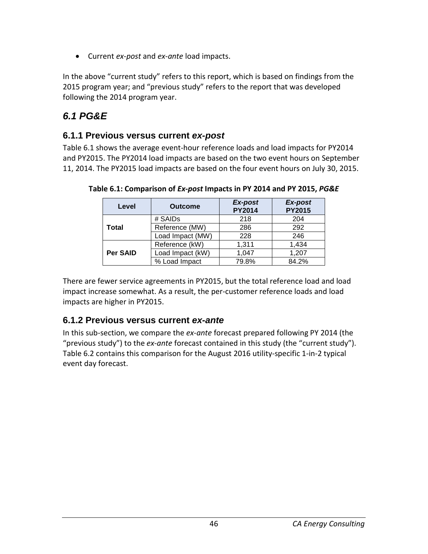• Current *ex-post* and *ex-ante* load impacts.

In the above "current study" refers to this report, which is based on findings from the 2015 program year; and "previous study" refers to the report that was developed following the 2014 program year.

## *6.1 PG&E*

### **6.1.1 Previous versus current** *ex-post*

Table 6.1 shows the average event-hour reference loads and load impacts for PY2014 and PY2015. The PY2014 load impacts are based on the two event hours on September 11, 2014. The PY2015 load impacts are based on the four event hours on July 30, 2015.

| Level    | <b>Outcome</b>   | Ex-post<br><b>PY2014</b> | Ex-post<br><b>PY2015</b> |
|----------|------------------|--------------------------|--------------------------|
|          | # SAIDs          | 218                      | 204                      |
| Total    | Reference (MW)   | 286                      | 292                      |
|          | Load Impact (MW) | 228                      | 246                      |
|          | Reference (kW)   | 1,311                    | 1,434                    |
| Per SAID | Load Impact (kW) | 1,047                    | 1,207                    |
|          | % Load Impact    | 79.8%                    | 84.2%                    |

**Table 6.1: Comparison of** *Ex-post* **Impacts in PY 2014 and PY 2015,** *PG&E*

There are fewer service agreements in PY2015, but the total reference load and load impact increase somewhat. As a result, the per-customer reference loads and load impacts are higher in PY2015.

### **6.1.2 Previous versus current** *ex-ante*

In this sub-section, we compare the *ex-ante* forecast prepared following PY 2014 (the "previous study") to the *ex-ante* forecast contained in this study (the "current study"). Table 6.2 contains this comparison for the August 2016 utility-specific 1-in-2 typical event day forecast.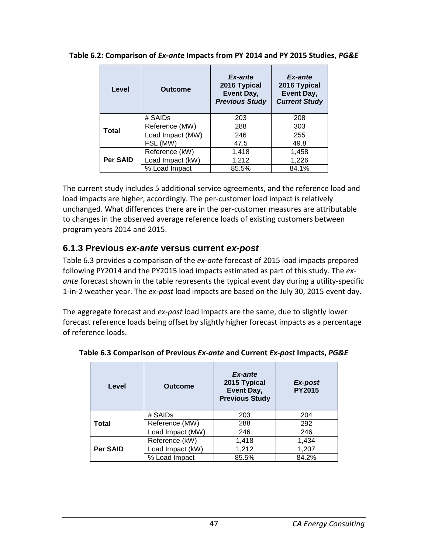| Level           | <b>Outcome</b>   | Ex-ante<br>2016 Typical<br>Event Day,<br><b>Previous Study</b> | Ex-ante<br>2016 Typical<br>Event Day,<br><b>Current Study</b> |
|-----------------|------------------|----------------------------------------------------------------|---------------------------------------------------------------|
|                 | # SAIDs          | 203                                                            | 208                                                           |
| <b>Total</b>    | Reference (MW)   | 288                                                            | 303                                                           |
|                 | Load Impact (MW) | 246                                                            | 255                                                           |
|                 | FSL (MW)         | 47.5                                                           | 49.8                                                          |
|                 | Reference (kW)   | 1,418                                                          | 1,458                                                         |
| <b>Per SAID</b> | Load Impact (kW) | 1,212                                                          | 1,226                                                         |
|                 | % Load Impact    | 85.5%                                                          | 84.1%                                                         |

**Table 6.2: Comparison of** *Ex-ante* **Impacts from PY 2014 and PY 2015 Studies,** *PG&E*

The current study includes 5 additional service agreements, and the reference load and load impacts are higher, accordingly. The per-customer load impact is relatively unchanged. What differences there are in the per-customer measures are attributable to changes in the observed average reference loads of existing customers between program years 2014 and 2015.

### **6.1.3 Previous** *ex-ante* **versus current** *ex-post*

Table 6.3 provides a comparison of the *ex-ante* forecast of 2015 load impacts prepared following PY2014 and the PY2015 load impacts estimated as part of this study. The *exante* forecast shown in the table represents the typical event day during a utility-specific 1-in-2 weather year. The *ex-post* load impacts are based on the July 30, 2015 event day.

The aggregate forecast and *ex-post* load impacts are the same, due to slightly lower forecast reference loads being offset by slightly higher forecast impacts as a percentage of reference loads.

| Level           | <b>Outcome</b>   | Ex-ante<br>2015 Typical<br>Event Day,<br><b>Previous Study</b> | Ex-post<br><b>PY2015</b> |
|-----------------|------------------|----------------------------------------------------------------|--------------------------|
|                 | # SAIDs          | 203                                                            | 204                      |
| Total           | Reference (MW)   | 288                                                            | 292                      |
|                 | Load Impact (MW) | 246                                                            | 246                      |
|                 | Reference (kW)   | 1,418                                                          | 1,434                    |
| <b>Per SAID</b> | Load Impact (kW) | 1,212                                                          | 1,207                    |
|                 | % Load Impact    | 85.5%                                                          | 84.2%                    |

**Table 6.3 Comparison of Previous** *Ex-ante* **and Current** *Ex-post* **Impacts,** *PG&E*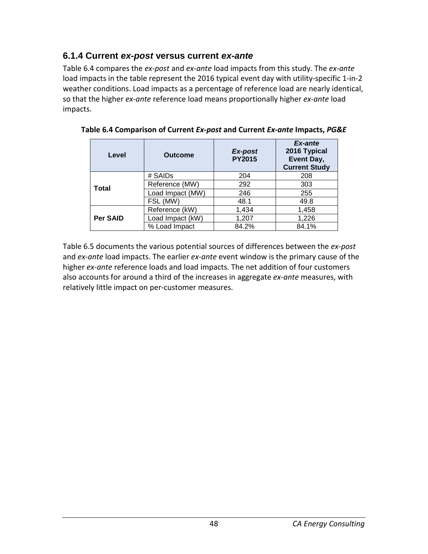### **6.1.4 Current** *ex-post* **versus current** *ex-ante*

Table 6.4 compares the *ex-post* and *ex-ante* load impacts from this study. The *ex-ante* load impacts in the table represent the 2016 typical event day with utility-specific 1-in-2 weather conditions. Load impacts as a percentage of reference load are nearly identical, so that the higher *ex-ante* reference load means proportionally higher *ex-ante* load impacts.

| Level           | <b>Outcome</b>   | Ex-post<br><b>PY2015</b> | Ex-ante<br>2016 Typical<br>Event Day,<br><b>Current Study</b> |
|-----------------|------------------|--------------------------|---------------------------------------------------------------|
| Total           | # SAIDs          | 204                      | 208                                                           |
|                 | Reference (MW)   | 292                      | 303                                                           |
|                 | Load Impact (MW) | 246                      | 255                                                           |
|                 | FSL (MW)         | 48.1                     | 49.8                                                          |
| <b>Per SAID</b> | Reference (kW)   | 1,434                    | 1,458                                                         |
|                 | Load Impact (kW) | 1,207                    | 1,226                                                         |
|                 | % Load Impact    | 84.2%                    | 84.1%                                                         |

**Table 6.4 Comparison of Current** *Ex-post* **and Current** *Ex-ante* **Impacts,** *PG&E*

Table 6.5 documents the various potential sources of differences between the *ex-post* and *ex-ante* load impacts. The earlier *ex-ante* event window is the primary cause of the higher *ex-ante* reference loads and load impacts. The net addition of four customers also accounts for around a third of the increases in aggregate *ex-ante* measures, with relatively little impact on per-customer measures.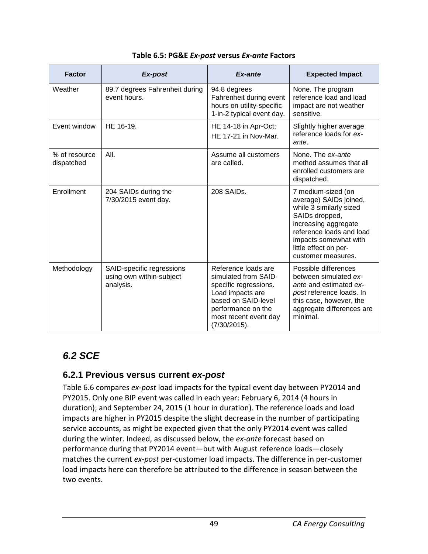| <b>Factor</b>               | Ex-post                                                            | Ex-ante                                                                                                                                                                        | <b>Expected Impact</b>                                                                                                                                                                                                |
|-----------------------------|--------------------------------------------------------------------|--------------------------------------------------------------------------------------------------------------------------------------------------------------------------------|-----------------------------------------------------------------------------------------------------------------------------------------------------------------------------------------------------------------------|
| Weather                     | 89.7 degrees Fahrenheit during<br>event hours.                     | 94.8 degrees<br>Fahrenheit during event<br>hours on utility-specific<br>1-in-2 typical event day.                                                                              | None. The program<br>reference load and load<br>impact are not weather<br>sensitive.                                                                                                                                  |
| Event window                | HE 16-19.                                                          | HE 14-18 in Apr-Oct;<br>HE 17-21 in Nov-Mar.                                                                                                                                   | Slightly higher average<br>reference loads for ex-<br>ante.                                                                                                                                                           |
| % of resource<br>dispatched | AII.                                                               | Assume all customers<br>are called.                                                                                                                                            | None. The ex-ante<br>method assumes that all<br>enrolled customers are<br>dispatched.                                                                                                                                 |
| Enrollment                  | 204 SAIDs during the<br>7/30/2015 event day.                       | 208 SAIDs.                                                                                                                                                                     | 7 medium-sized (on<br>average) SAIDs joined,<br>while 3 similarly sized<br>SAIDs dropped,<br>increasing aggregate<br>reference loads and load<br>impacts somewhat with<br>little effect on per-<br>customer measures. |
| Methodology                 | SAID-specific regressions<br>using own within-subject<br>analysis. | Reference loads are<br>simulated from SAID-<br>specific regressions.<br>Load impacts are<br>based on SAID-level<br>performance on the<br>most recent event day<br>(7/30/2015). | Possible differences<br>between simulated ex-<br>ante and estimated ex-<br>post reference loads. In<br>this case, however, the<br>aggregate differences are<br>minimal.                                               |

#### **Table 6.5: PG&E** *Ex-post* **versus** *Ex-ante* **Factors**

## *6.2 SCE*

### **6.2.1 Previous versus current** *ex-post*

Table 6.6 compares *ex-post* load impacts for the typical event day between PY2014 and PY2015. Only one BIP event was called in each year: February 6, 2014 (4 hours in duration); and September 24, 2015 (1 hour in duration). The reference loads and load impacts are higher in PY2015 despite the slight decrease in the number of participating service accounts, as might be expected given that the only PY2014 event was called during the winter. Indeed, as discussed below, the *ex-ante* forecast based on performance during that PY2014 event—but with August reference loads—closely matches the current *ex-post* per-customer load impacts. The difference in per-customer load impacts here can therefore be attributed to the difference in season between the two events.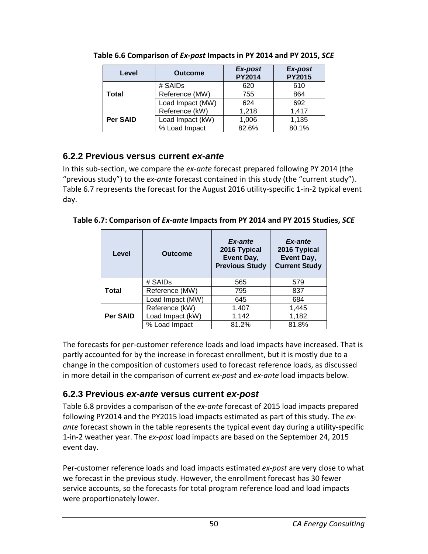| Level    | <b>Outcome</b>   | Ex-post<br><b>PY2014</b> | Ex-post<br><b>PY2015</b> |
|----------|------------------|--------------------------|--------------------------|
|          | # SAIDs          | 620                      | 610                      |
| Total    | Reference (MW)   | 755                      | 864                      |
|          | Load Impact (MW) | 624                      | 692                      |
|          | Reference (kW)   | 1,218                    | 1,417                    |
| Per SAID | Load Impact (kW) | 1,006                    | 1,135                    |
|          | % Load Impact    | 82.6%                    | 80.1%                    |

**Table 6.6 Comparison of** *Ex-post* **Impacts in PY 2014 and PY 2015,** *SCE*

### **6.2.2 Previous versus current** *ex-ante*

In this sub-section, we compare the *ex-ante* forecast prepared following PY 2014 (the "previous study") to the *ex-ante* forecast contained in this study (the "current study"). Table 6.7 represents the forecast for the August 2016 utility-specific 1-in-2 typical event day.

**Table 6.7: Comparison of** *Ex-ante* **Impacts from PY 2014 and PY 2015 Studies,** *SCE*

| Level           | <b>Outcome</b>   | Ex-ante<br>2016 Typical<br>Event Day,<br><b>Previous Study</b> | Ex-ante<br>2016 Typical<br>Event Day,<br><b>Current Study</b> |
|-----------------|------------------|----------------------------------------------------------------|---------------------------------------------------------------|
|                 | # SAIDs          | 565                                                            | 579                                                           |
| <b>Total</b>    | Reference (MW)   | 795                                                            | 837                                                           |
|                 | Load Impact (MW) | 645                                                            | 684                                                           |
|                 | Reference (kW)   | 1,407                                                          | 1,445                                                         |
| <b>Per SAID</b> | Load Impact (kW) | 1,142                                                          | 1,182                                                         |
|                 | % Load Impact    | 81.2%                                                          | 81.8%                                                         |

The forecasts for per-customer reference loads and load impacts have increased. That is partly accounted for by the increase in forecast enrollment, but it is mostly due to a change in the composition of customers used to forecast reference loads, as discussed in more detail in the comparison of current *ex-post* and *ex-ante* load impacts below.

### **6.2.3 Previous** *ex-ante* **versus current** *ex-post*

Table 6.8 provides a comparison of the *ex-ante* forecast of 2015 load impacts prepared following PY2014 and the PY2015 load impacts estimated as part of this study. The *exante* forecast shown in the table represents the typical event day during a utility-specific 1-in-2 weather year. The *ex-post* load impacts are based on the September 24, 2015 event day.

Per-customer reference loads and load impacts estimated *ex-post* are very close to what we forecast in the previous study. However, the enrollment forecast has 30 fewer service accounts, so the forecasts for total program reference load and load impacts were proportionately lower.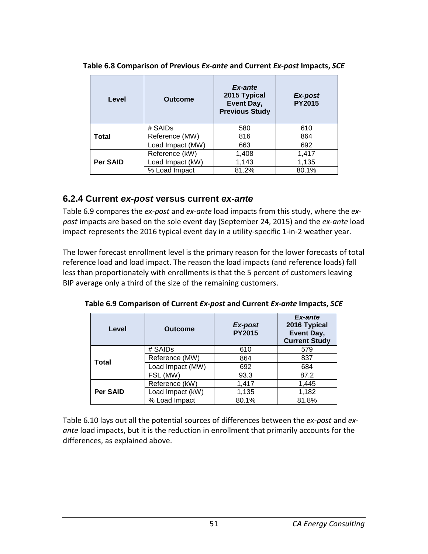| Level           | Outcome          | Ex-ante<br>2015 Typical<br>Event Day,<br><b>Previous Study</b> | Ex-post<br><b>PY2015</b> |  |
|-----------------|------------------|----------------------------------------------------------------|--------------------------|--|
|                 | # SAIDs          | 580                                                            | 610                      |  |
| Total           | Reference (MW)   | 816                                                            | 864                      |  |
|                 | Load Impact (MW) | 663                                                            | 692                      |  |
|                 | Reference (kW)   | 1,408                                                          | 1,417                    |  |
| <b>Per SAID</b> | Load Impact (kW) | 1,143                                                          | 1,135                    |  |
|                 | % Load Impact    | 81.2%                                                          | 80.1%                    |  |

**Table 6.8 Comparison of Previous** *Ex-ante* **and Current** *Ex-post* **Impacts,** *SCE*

### **6.2.4 Current** *ex-post* **versus current** *ex-ante*

Table 6.9 compares the *ex-post* and *ex-ante* load impacts from this study, where the *expost* impacts are based on the sole event day (September 24, 2015) and the *ex-ante* load impact represents the 2016 typical event day in a utility-specific 1-in-2 weather year.

The lower forecast enrollment level is the primary reason for the lower forecasts of total reference load and load impact. The reason the load impacts (and reference loads) fall less than proportionately with enrollments is that the 5 percent of customers leaving BIP average only a third of the size of the remaining customers.

| Level           | <b>Outcome</b>   | Ex-post<br><b>PY2015</b> | <b>Ex-ante</b><br>2016 Typical<br>Event Day,<br><b>Current Study</b> |
|-----------------|------------------|--------------------------|----------------------------------------------------------------------|
|                 | # SAIDs          | 610                      | 579                                                                  |
| <b>Total</b>    | Reference (MW)   | 864                      | 837                                                                  |
|                 | Load Impact (MW) | 692                      | 684                                                                  |
|                 | FSL (MW)         | 93.3                     | 87.2                                                                 |
|                 | Reference (kW)   | 1,417                    | 1,445                                                                |
| <b>Per SAID</b> | Load Impact (kW) | 1,135                    | 1,182                                                                |
|                 | % Load Impact    | 80.1%                    | 81.8%                                                                |

**Table 6.9 Comparison of Current** *Ex-post* **and Current** *Ex-ante* **Impacts,** *SCE*

Table 6.10 lays out all the potential sources of differences between the *ex-post* and *exante* load impacts, but it is the reduction in enrollment that primarily accounts for the differences, as explained above.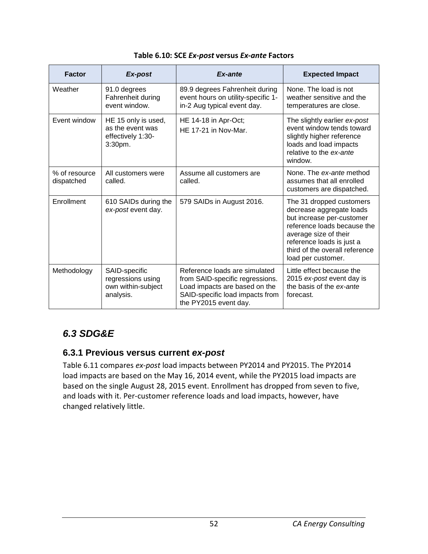| <b>Factor</b>               | Ex-post                                                                 | Ex-ante                                                                                                                                                       | <b>Expected Impact</b>                                                                                                                                                                                                         |
|-----------------------------|-------------------------------------------------------------------------|---------------------------------------------------------------------------------------------------------------------------------------------------------------|--------------------------------------------------------------------------------------------------------------------------------------------------------------------------------------------------------------------------------|
| Weather                     | 91.0 degrees<br>Fahrenheit during<br>event window.                      | 89.9 degrees Fahrenheit during<br>event hours on utility-specific 1-<br>in-2 Aug typical event day.                                                           | None. The load is not<br>weather sensitive and the<br>temperatures are close.                                                                                                                                                  |
| Event window                | HE 15 only is used,<br>as the event was<br>effectively 1:30-<br>3:30pm. | HE 14-18 in Apr-Oct;<br>HE 17-21 in Nov-Mar.                                                                                                                  | The slightly earlier ex-post<br>event window tends toward<br>slightly higher reference<br>loads and load impacts<br>relative to the ex-ante<br>window.                                                                         |
| % of resource<br>dispatched | All customers were<br>called.                                           | Assume all customers are<br>called.                                                                                                                           | None. The ex-ante method<br>assumes that all enrolled<br>customers are dispatched.                                                                                                                                             |
| Enrollment                  | 610 SAIDs during the<br>ex-post event day.                              | 579 SAIDs in August 2016.                                                                                                                                     | The 31 dropped customers<br>decrease aggregate loads<br>but increase per-customer<br>reference loads because the<br>average size of their<br>reference loads is just a<br>third of the overall reference<br>load per customer. |
| Methodology                 | SAID-specific<br>regressions using<br>own within-subject<br>analysis.   | Reference loads are simulated<br>from SAID-specific regressions.<br>Load impacts are based on the<br>SAID-specific load impacts from<br>the PY2015 event day. | Little effect because the<br>2015 ex-post event day is<br>the basis of the ex-ante<br>forecast.                                                                                                                                |

#### **Table 6.10: SCE** *Ex-post* **versus** *Ex-ante* **Factors**

## *6.3 SDG&E*

### **6.3.1 Previous versus current** *ex-post*

Table 6.11 compares *ex-post* load impacts between PY2014 and PY2015. The PY2014 load impacts are based on the May 16, 2014 event, while the PY2015 load impacts are based on the single August 28, 2015 event. Enrollment has dropped from seven to five, and loads with it. Per-customer reference loads and load impacts, however, have changed relatively little.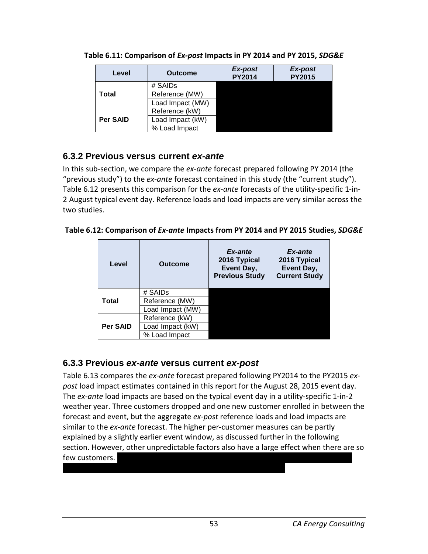| Level           | <b>Outcome</b>   | Ex-post<br><b>PY2014</b> | Ex-post<br><b>PY2015</b> |
|-----------------|------------------|--------------------------|--------------------------|
|                 | # SAIDs          |                          |                          |
| Total           | Reference (MW)   |                          |                          |
|                 | Load Impact (MW) |                          |                          |
|                 | Reference (kW)   |                          |                          |
| <b>Per SAID</b> | Load Impact (kW) |                          |                          |
|                 | % Load Impact    |                          |                          |

**Table 6.11: Comparison of** *Ex-post* **Impacts in PY 2014 and PY 2015,** *SDG&E*

### **6.3.2 Previous versus current** *ex-ante*

In this sub-section, we compare the *ex-ante* forecast prepared following PY 2014 (the "previous study") to the *ex-ante* forecast contained in this study (the "current study"). Table 6.12 presents this comparison for the *ex-ante* forecasts of the utility-specific 1-in-2 August typical event day. Reference loads and load impacts are very similar across the two studies.

**Table 6.12: Comparison of** *Ex-ante* **Impacts from PY 2014 and PY 2015 Studies,** *SDG&E*

| Level        | <b>Outcome</b>   | Ex-ante<br>2016 Typical<br>Event Day,<br><b>Previous Study</b> | Ex-ante<br>2016 Typical<br>Event Day,<br><b>Current Study</b> |
|--------------|------------------|----------------------------------------------------------------|---------------------------------------------------------------|
|              | # SAIDs          |                                                                |                                                               |
| <b>Total</b> | Reference (MW)   |                                                                |                                                               |
|              | Load Impact (MW) |                                                                |                                                               |
| Per SAID     | Reference (kW)   |                                                                |                                                               |
|              | Load Impact (kW) |                                                                |                                                               |
|              | % Load Impact    |                                                                |                                                               |

### **6.3.3 Previous** *ex-ante* **versus current** *ex-post*

Table 6.13 compares the *ex-ante* forecast prepared following PY2014 to the PY2015 *expost* load impact estimates contained in this report for the August 28, 2015 event day. The *ex-ante* load impacts are based on the typical event day in a utility-specific 1-in-2 weather year. Three customers dropped and one new customer enrolled in between the forecast and event, but the aggregate *ex-post* reference loads and load impacts are similar to the *ex-ante* forecast. The higher per-customer measures can be partly explained by a slightly earlier event window, as discussed further in the following section. However, other unpredictable factors also have a large effect when there are so few customers.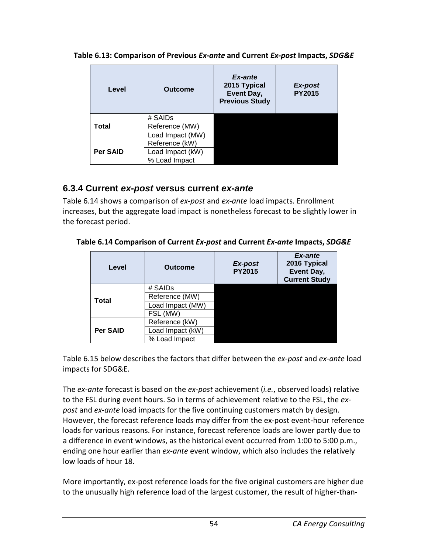| Level           | <b>Outcome</b>   | Ex-ante<br>2015 Typical<br><b>Event Day,</b><br><b>Previous Study</b> | Ex-post<br><b>PY2015</b> |
|-----------------|------------------|-----------------------------------------------------------------------|--------------------------|
|                 | # SAIDs          |                                                                       |                          |
| Total           | Reference (MW)   |                                                                       |                          |
|                 | Load Impact (MW) |                                                                       |                          |
|                 | Reference (kW)   |                                                                       |                          |
| <b>Per SAID</b> | Load Impact (kW) |                                                                       |                          |
|                 | % Load Impact    |                                                                       |                          |

**Table 6.13: Comparison of Previous** *Ex-ante* **and Current** *Ex-post* **Impacts,** *SDG&E*

### **6.3.4 Current** *ex-post* **versus current** *ex-ante*

Table 6.14 shows a comparison of *ex-post* and *ex-ante* load impacts. Enrollment increases, but the aggregate load impact is nonetheless forecast to be slightly lower in the forecast period.

|  | Table 6.14 Comparison of Current Ex-post and Current Ex-ante Impacts, SDG&E |  |
|--|-----------------------------------------------------------------------------|--|
|  |                                                                             |  |

| Level           | Ex-post<br><b>Outcome</b><br><b>PY2015</b> |  | Ex-ante<br>2016 Typical<br>Event Day,<br><b>Current Study</b> |
|-----------------|--------------------------------------------|--|---------------------------------------------------------------|
|                 | # SAIDs                                    |  |                                                               |
| <b>Total</b>    | Reference (MW)                             |  |                                                               |
|                 | Load Impact (MW)                           |  |                                                               |
|                 | FSL (MW)                                   |  |                                                               |
|                 | Reference (kW)                             |  |                                                               |
| <b>Per SAID</b> | Load Impact (kW)                           |  |                                                               |
|                 | % Load Impact                              |  |                                                               |

Table 6.15 below describes the factors that differ between the *ex-post* and *ex-ante* load impacts for SDG&E.

The *ex-ante* forecast is based on the *ex-post* achievement (*i.e.*, observed loads) relative to the FSL during event hours. So in terms of achievement relative to the FSL, the *expost* and *ex-ante* load impacts for the five continuing customers match by design. However, the forecast reference loads may differ from the ex-post event-hour reference loads for various reasons. For instance, forecast reference loads are lower partly due to a difference in event windows, as the historical event occurred from 1:00 to 5:00 p.m., ending one hour earlier than *ex-ante* event window, which also includes the relatively low loads of hour 18.

More importantly, ex-post reference loads for the five original customers are higher due to the unusually high reference load of the largest customer, the result of higher-than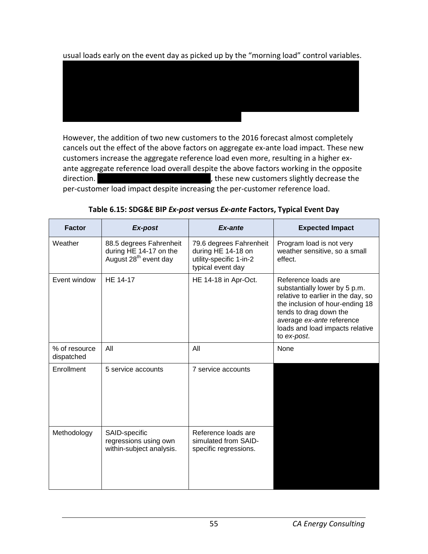usual loads early on the event day as picked up by the "morning load" control variables.

XXXXXXXXXXXXXXXXXXXXXXXXXXXXXXXXXXXXXXXXXXXXXXXXXXXXXXXXXXXXXXXXXXXX XXXXXXXXXXXXXXXXXXXXXXXXXXXXXXXXXXXXXXXXXXXXXXXXXXXXXXXXXXXXXXXXXXXX XXXXXXXXXXXXXXXXXXXXXXXXXXXXXXXXXXXXXXXXXXXXXXXXXXXXXXXXXXXXXXXXXXXX XXXXXXXXXXXXXXXXXXXXXXXXXXXXXXXXXXXXXXXXXXXXXXXXXXXXXXXXXXXXXXXXXXXX

However, the addition of two new customers to the 2016 forecast almost completely cancels out the effect of the above factors on aggregate ex-ante load impact. These new customers increase the aggregate reference load even more, resulting in a higher exante aggregate reference load overall despite the above factors working in the opposite direction.  $\blacksquare$  XXXXXXXXXXX, these new customers slightly decrease the per-customer load impact despite increasing the per-customer reference load.

| <b>Factor</b>               | Ex-post                                                                                | Ex-ante                                                                                       | <b>Expected Impact</b>                                                                                                                                                                                                                 |
|-----------------------------|----------------------------------------------------------------------------------------|-----------------------------------------------------------------------------------------------|----------------------------------------------------------------------------------------------------------------------------------------------------------------------------------------------------------------------------------------|
| Weather                     | 88.5 degrees Fahrenheit<br>during HE 14-17 on the<br>August 28 <sup>th</sup> event day | 79.6 degrees Fahrenheit<br>during HE 14-18 on<br>utility-specific 1-in-2<br>typical event day | Program load is not very<br>weather sensitive, so a small<br>effect.                                                                                                                                                                   |
| Event window                | HE 14-17                                                                               | HE 14-18 in Apr-Oct.                                                                          | Reference loads are<br>substantially lower by 5 p.m.<br>relative to earlier in the day, so<br>the inclusion of hour-ending 18<br>tends to drag down the<br>average ex-ante reference<br>loads and load impacts relative<br>to ex-post. |
| % of resource<br>dispatched | All                                                                                    | All                                                                                           | None                                                                                                                                                                                                                                   |
| Enrollment                  | 5 service accounts                                                                     | 7 service accounts                                                                            |                                                                                                                                                                                                                                        |
| Methodology                 | SAID-specific<br>regressions using own<br>within-subject analysis.                     | Reference loads are<br>simulated from SAID-<br>specific regressions.                          |                                                                                                                                                                                                                                        |

**Table 6.15: SDG&E BIP** *Ex-post* **versus** *Ex-ante* **Factors, Typical Event Day**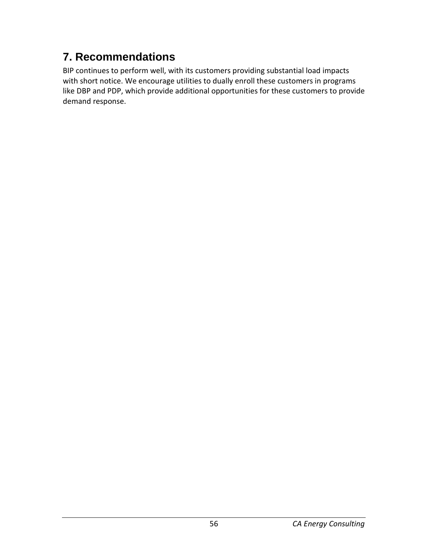# **7. Recommendations**

BIP continues to perform well, with its customers providing substantial load impacts with short notice. We encourage utilities to dually enroll these customers in programs like DBP and PDP, which provide additional opportunities for these customers to provide demand response.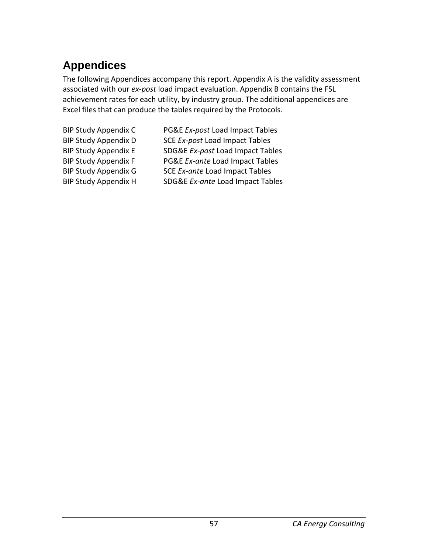# **Appendices**

The following Appendices accompany this report. Appendix A is the validity assessment associated with our *ex-post* load impact evaluation. Appendix B contains the FSL achievement rates for each utility, by industry group. The additional appendices are Excel files that can produce the tables required by the Protocols.

- 
- BIP Study Appendix C PG&E *Ex-post* Load Impact Tables BIP Study Appendix D SCE *Ex-post* Load Impact Tables BIP Study Appendix E SDG&E *Ex-post* Load Impact Tables BIP Study Appendix F PG&E *Ex-ante* Load Impact Tables BIP Study Appendix G SCE *Ex-ante* Load Impact Tables
- BIP Study Appendix H SDG&E *Ex-ante* Load Impact Tables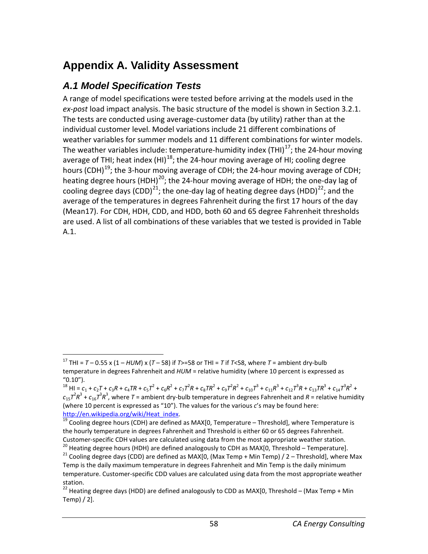# **Appendix A. Validity Assessment**

## *A.1 Model Specification Tests*

A range of model specifications were tested before arriving at the models used in the *ex-post* load impact analysis. The basic structure of the model is shown in Section 3.2.1. The tests are conducted using average-customer data (by utility) rather than at the individual customer level. Model variations include 21 different combinations of weather variables for summer models and 11 different combinations for winter models. The weather variables include: temperature-humidity index (THI) $^{17}$ ; the 24-hour moving average of THI; heat index  $(HI)^{18}$ ; the 24-hour moving average of HI; cooling degree hours (CDH)<sup>19</sup>; the 3-hour moving average of CDH; the 24-hour moving average of CDH; heating degree hours (HDH)<sup>20</sup>; the 24-hour moving average of HDH; the one-day lag of cooling degree days (CDD)<sup>[21](#page-63-4)</sup>; the one-day lag of heating degree days (HDD)<sup>[22](#page-63-5)</sup>; and the average of the temperatures in degrees Fahrenheit during the first 17 hours of the day (Mean17). For CDH, HDH, CDD, and HDD, both 60 and 65 degree Fahrenheit thresholds are used. A list of all combinations of these variables that we tested is provided in Table A.1.

<span id="page-63-0"></span><sup>&</sup>lt;sup>17</sup> THI =  $T$  – 0.55 x (1 – *HUM*) x (*T* – 58) if *T*>=58 or THI = *T* if *T*<58, where *T* = ambient dry-bulb temperature in degrees Fahrenheit and *HUM* = relative humidity (where 10 percent is expressed as "0.10").

<span id="page-63-1"></span><sup>&</sup>lt;sup>18</sup> HI =  $c_1$  +  $c_2$ T +  $c_3$ R +  $c_4$ TR +  $c_5$ T<sup>2</sup> +  $c_6$ R<sup>2</sup> +  $c_7$ T<sup>2</sup>R +  $c_8$ TR<sup>2</sup> +  $c_9$ T<sup>2</sup>R<sup>2</sup> +  $c_{10}$ T<sup>3</sup> +  $c_{11}$ R<sup>3</sup> +  $c_{12}$ T<sup>3</sup>R +  $c_{13}$ TR<sup>3</sup> +  $c_{14}$ T<sup>3</sup>R<sup>2</sup> +  $c_{15}$  $7^2R^3$  +  $c_{16}$  $7^3R^3$ , where  $T$  = ambient dry-bulb temperature in degrees Fahrenheit and  $R$  = relative humidity (where 10 percent is expressed as "10"). The values for the various *c*'s may be found here:<br>http://en.wikipedia.org/wiki/Heat\_index.

<span id="page-63-2"></span> $19$  Cooling degree hours (CDH) are defined as MAX[0, Temperature – Threshold], where Temperature is the hourly temperature in degrees Fahrenheit and Threshold is either 60 or 65 degrees Fahrenheit. Customer-specific CDH values are calculated using data from the most appropriate weather station.<br><sup>20</sup> Heating degree hours (HDH) are defined analogously to CDH as MAX[0, Threshold – Temperature].<br><sup>21</sup> Cooling degree days

<span id="page-63-4"></span><span id="page-63-3"></span>Temp is the daily maximum temperature in degrees Fahrenheit and Min Temp is the daily minimum temperature. Customer-specific CDD values are calculated using data from the most appropriate weather station.

<span id="page-63-5"></span><sup>&</sup>lt;sup>22</sup> Heating degree days (HDD) are defined analogously to CDD as MAX[0, Threshold – (Max Temp + Min Temp) / 2].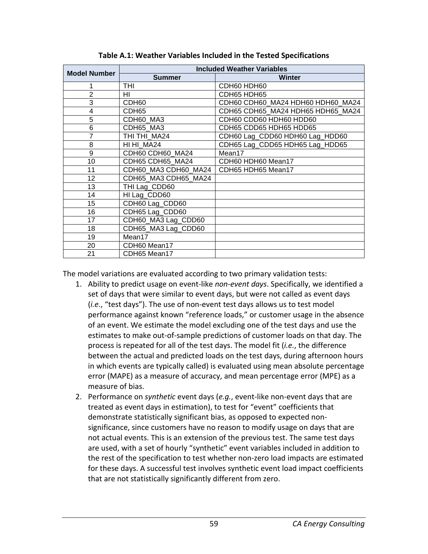| <b>Model Number</b> |                      | <b>Included Weather Variables</b> |
|---------------------|----------------------|-----------------------------------|
|                     | <b>Summer</b>        | <b>Winter</b>                     |
| 1                   | THI                  | CDH60 HDH60                       |
| $\overline{2}$      | HI                   | CDH65 HDH65                       |
| 3                   | CDH60                | CDH60 CDH60_MA24 HDH60 HDH60_MA24 |
| 4                   | CDH <sub>65</sub>    | CDH65 CDH65 MA24 HDH65 HDH65 MA24 |
| 5                   | CDH60 MA3            | CDH60 CDD60 HDH60 HDD60           |
| 6                   | CDH65_MA3            | CDH65 CDD65 HDH65 HDD65           |
| 7                   | THI THI MA24         | CDH60 Lag_CDD60 HDH60 Lag_HDD60   |
| 8                   | HI HI MA24           | CDH65 Lag_CDD65 HDH65 Lag_HDD65   |
| 9                   | CDH60 CDH60 MA24     | Mean17                            |
| 10                  | CDH65 CDH65 MA24     | CDH60 HDH60 Mean17                |
| 11                  | CDH60_MA3 CDH60_MA24 | CDH65 HDH65 Mean17                |
| 12                  | CDH65_MA3 CDH65_MA24 |                                   |
| 13                  | THI Lag_CDD60        |                                   |
| 14                  | HI Lag_CDD60         |                                   |
| 15                  | CDH60 Lag_CDD60      |                                   |
| 16                  | CDH65 Lag_CDD60      |                                   |
| 17                  | CDH60_MA3 Lag_CDD60  |                                   |
| 18                  | CDH65_MA3 Lag_CDD60  |                                   |
| 19                  | Mean17               |                                   |
| 20                  | CDH60 Mean17         |                                   |
| 21                  | CDH65 Mean17         |                                   |

**Table A.1: Weather Variables Included in the Tested Specifications**

The model variations are evaluated according to two primary validation tests:

- 1. Ability to predict usage on event-like *non-event days*. Specifically, we identified a set of days that were similar to event days, but were not called as event days (*i.e.*, "test days"). The use of non-event test days allows us to test model performance against known "reference loads," or customer usage in the absence of an event. We estimate the model excluding one of the test days and use the estimates to make out-of-sample predictions of customer loads on that day. The process is repeated for all of the test days. The model fit (*i.e.*, the difference between the actual and predicted loads on the test days, during afternoon hours in which events are typically called) is evaluated using mean absolute percentage error (MAPE) as a measure of accuracy, and mean percentage error (MPE) as a measure of bias.
- 2. Performance on *synthetic* event days (*e.g.*, event-like non-event days that are treated as event days in estimation), to test for "event" coefficients that demonstrate statistically significant bias, as opposed to expected nonsignificance, since customers have no reason to modify usage on days that are not actual events. This is an extension of the previous test. The same test days are used, with a set of hourly "synthetic" event variables included in addition to the rest of the specification to test whether non-zero load impacts are estimated for these days. A successful test involves synthetic event load impact coefficients that are not statistically significantly different from zero.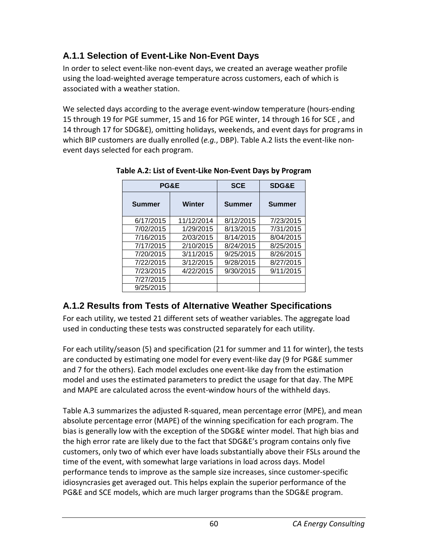## **A.1.1 Selection of Event-Like Non-Event Days**

In order to select event-like non-event days, we created an average weather profile using the load-weighted average temperature across customers, each of which is associated with a weather station.

We selected days according to the average event-window temperature (hours-ending 15 through 19 for PGE summer, 15 and 16 for PGE winter, 14 through 16 for SCE , and 14 through 17 for SDG&E), omitting holidays, weekends, and event days for programs in which BIP customers are dually enrolled (*e.g.*, DBP). Table A.2 lists the event-like nonevent days selected for each program.

| <b>PG&amp;E</b> |            | <b>SCE</b>    | <b>SDG&amp;E</b> |
|-----------------|------------|---------------|------------------|
| <b>Summer</b>   | Winter     | <b>Summer</b> | <b>Summer</b>    |
| 6/17/2015       | 11/12/2014 | 8/12/2015     | 7/23/2015        |
| 7/02/2015       | 1/29/2015  | 8/13/2015     | 7/31/2015        |
| 7/16/2015       | 2/03/2015  | 8/14/2015     | 8/04/2015        |
| 7/17/2015       | 2/10/2015  | 8/24/2015     | 8/25/2015        |
| 7/20/2015       | 3/11/2015  | 9/25/2015     | 8/26/2015        |
| 7/22/2015       | 3/12/2015  | 9/28/2015     | 8/27/2015        |
| 7/23/2015       | 4/22/2015  | 9/30/2015     | 9/11/2015        |
| 7/27/2015       |            |               |                  |
| 9/25/2015       |            |               |                  |

**Table A.2: List of Event-Like Non-Event Days by Program**

## **A.1.2 Results from Tests of Alternative Weather Specifications**

For each utility, we tested 21 different sets of weather variables. The aggregate load used in conducting these tests was constructed separately for each utility.

For each utility/season (5) and specification (21 for summer and 11 for winter), the tests are conducted by estimating one model for every event-like day (9 for PG&E summer and 7 for the others). Each model excludes one event-like day from the estimation model and uses the estimated parameters to predict the usage for that day. The MPE and MAPE are calculated across the event-window hours of the withheld days.

Table A.3 summarizes the adjusted R-squared, mean percentage error (MPE), and mean absolute percentage error (MAPE) of the winning specification for each program. The bias is generally low with the exception of the SDG&E winter model. That high bias and the high error rate are likely due to the fact that SDG&E's program contains only five customers, only two of which ever have loads substantially above their FSLs around the time of the event, with somewhat large variations in load across days. Model performance tends to improve as the sample size increases, since customer-specific idiosyncrasies get averaged out. This helps explain the superior performance of the PG&E and SCE models, which are much larger programs than the SDG&E program.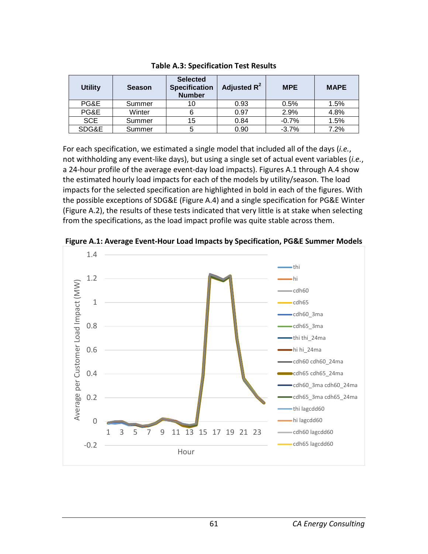| <b>Utility</b> | <b>Season</b> | <b>Selected</b><br><b>Specification</b><br><b>Number</b> | Adjusted R <sup>2</sup> | <b>MPE</b> | <b>MAPE</b> |
|----------------|---------------|----------------------------------------------------------|-------------------------|------------|-------------|
| PG&E           | Summer        | 10                                                       | 0.93                    | 0.5%       | 1.5%        |
| PG&E           | Winter        |                                                          | 0.97                    | 2.9%       | 4.8%        |
| <b>SCE</b>     | Summer        | 15                                                       | 0.84                    | $-0.7%$    | 1.5%        |
| SDG&E          | Summer        | 5                                                        | 0.90                    | $-3.7\%$   | 7.2%        |

**Table A.3: Specification Test Results**

For each specification, we estimated a single model that included all of the days (*i.e.*, not withholding any event-like days), but using a single set of actual event variables (*i.e.*, a 24-hour profile of the average event-day load impacts). Figures A.1 through A.4 show the estimated hourly load impacts for each of the models by utility/season. The load impacts for the selected specification are highlighted in bold in each of the figures. With the possible exceptions of SDG&E (Figure A.4) and a single specification for PG&E Winter (Figure A.2), the results of these tests indicated that very little is at stake when selecting from the specifications, as the load impact profile was quite stable across them.



**Figure A.1: Average Event-Hour Load Impacts by Specification, PG&E Summer Models**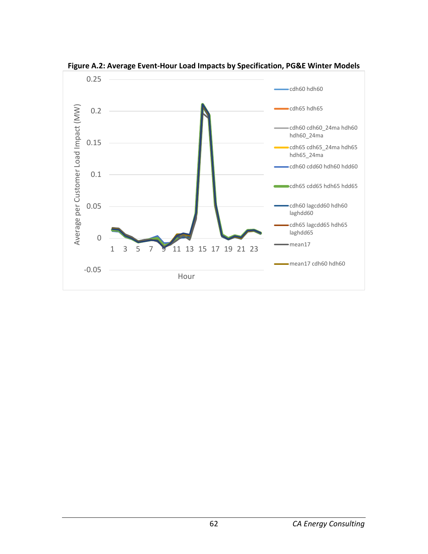

**Figure A.2: Average Event-Hour Load Impacts by Specification, PG&E Winter Models**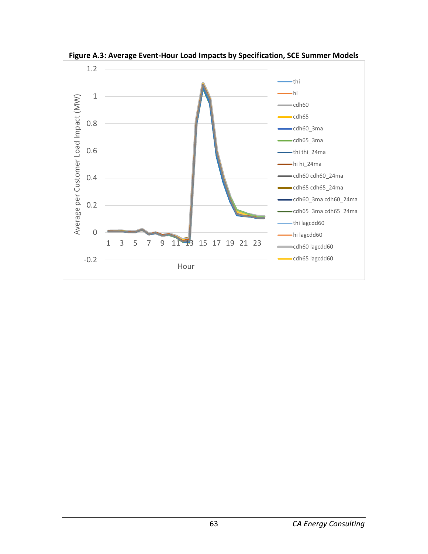

**Figure A.3: Average Event-Hour Load Impacts by Specification, SCE Summer Models**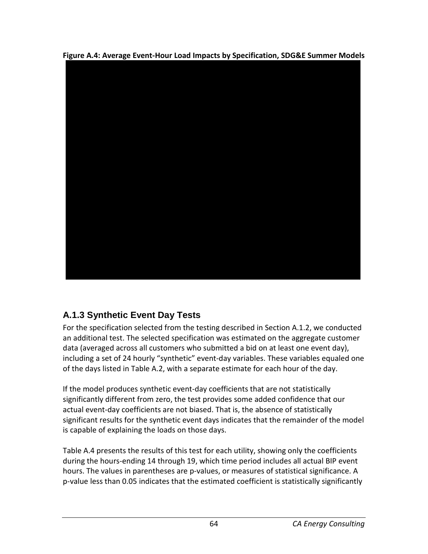**Figure A.4: Average Event-Hour Load Impacts by Specification, SDG&E Summer Models**



# **A.1.3 Synthetic Event Day Tests**

For the specification selected from the testing described in Section A.1.2, we conducted an additional test. The selected specification was estimated on the aggregate customer data (averaged across all customers who submitted a bid on at least one event day), including a set of 24 hourly "synthetic" event-day variables. These variables equaled one of the days listed in Table A.2, with a separate estimate for each hour of the day.

If the model produces synthetic event-day coefficients that are not statistically significantly different from zero, the test provides some added confidence that our actual event-day coefficients are not biased. That is, the absence of statistically significant results for the synthetic event days indicates that the remainder of the model is capable of explaining the loads on those days.

Table A.4 presents the results of this test for each utility, showing only the coefficients during the hours-ending 14 through 19, which time period includes all actual BIP event hours. The values in parentheses are p-values, or measures of statistical significance. A p-value less than 0.05 indicates that the estimated coefficient is statistically significantly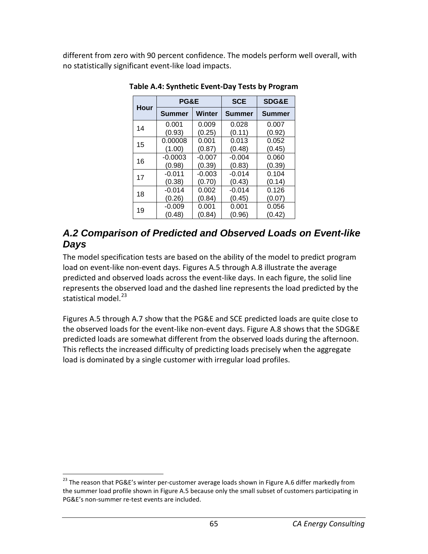different from zero with 90 percent confidence. The models perform well overall, with no statistically significant event-like load impacts.

| <b>Hour</b> | PG&E      |          | <b>SCE</b>    | SDG&E         |
|-------------|-----------|----------|---------------|---------------|
|             | Summer    | Winter   | <b>Summer</b> | <b>Summer</b> |
| 14          | 0.001     | 0.009    | 0.028         | 0.007         |
|             | (0.93)    | (0.25)   | (0.11)        | (0.92)        |
| 15          | 0.00008   | 0.001    | 0.013         | 0.052         |
|             | (1.00)    | (0.87)   | (0.48)        | (0.45)        |
| 16          | $-0.0003$ | $-0.007$ | $-0.004$      | 0.060         |
|             | (0.98)    | (0.39)   | (0.83)        | (0.39)        |
| 17          | $-0.011$  | $-0.003$ | $-0.014$      | 0.104         |
|             | (0.38)    | (0.70)   | (0.43)        | (0.14)        |
| 18          | $-0.014$  | 0.002    | $-0.014$      | 0.126         |
|             | (0.26)    | (0.84)   | (0.45)        | (0.07)        |
| 19          | $-0.009$  | 0.001    | 0.001         | 0.056         |
|             | (0.48)    | (0.84)   | (0.96)        | (0.42)        |

**Table A.4: Synthetic Event-Day Tests by Program**

### *A.2 Comparison of Predicted and Observed Loads on Event-like Days*

The model specification tests are based on the ability of the model to predict program load on event-like non-event days. Figures A.5 through A.8 illustrate the average predicted and observed loads across the event-like days. In each figure, the solid line represents the observed load and the dashed line represents the load predicted by the statistical model.<sup>[23](#page-70-0)</sup>

Figures A.5 through A.7 show that the PG&E and SCE predicted loads are quite close to the observed loads for the event-like non-event days. Figure A.8 shows that the SDG&E predicted loads are somewhat different from the observed loads during the afternoon. This reflects the increased difficulty of predicting loads precisely when the aggregate load is dominated by a single customer with irregular load profiles.

<span id="page-70-0"></span><sup>&</sup>lt;sup>23</sup> The reason that PG&E's winter per-customer average loads shown in Figure A.6 differ markedly from the summer load profile shown in Figure A.5 because only the small subset of customers participating in PG&E's non-summer re-test events are included.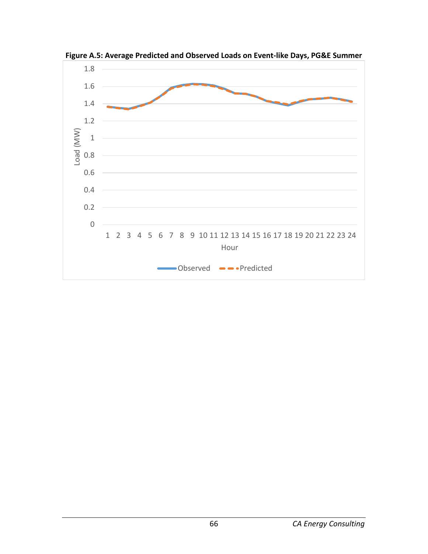

**Figure A.5: Average Predicted and Observed Loads on Event-like Days, PG&E Summer**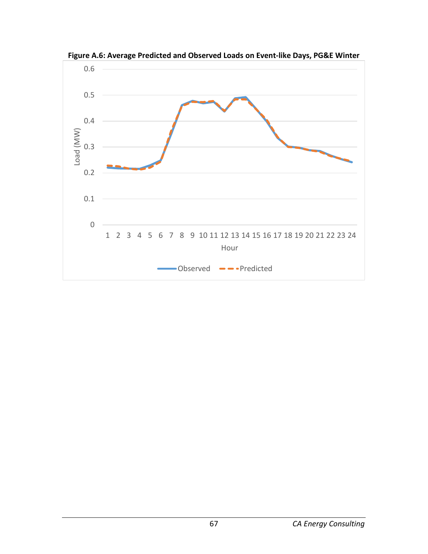

**Figure A.6: Average Predicted and Observed Loads on Event-like Days, PG&E Winter**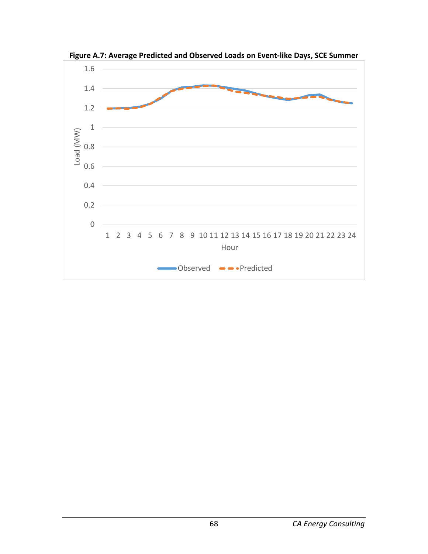

**Figure A.7: Average Predicted and Observed Loads on Event-like Days, SCE Summer**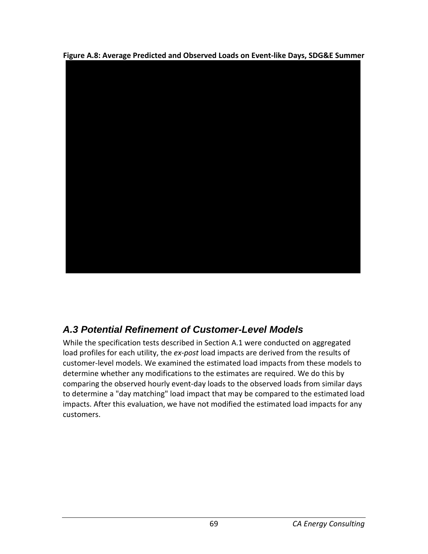**Figure A.8: Average Predicted and Observed Loads on Event-like Days, SDG&E Summer**



## *A.3 Potential Refinement of Customer-Level Models*

While the specification tests described in Section A.1 were conducted on aggregated load profiles for each utility, the *ex-post* load impacts are derived from the results of customer-level models. We examined the estimated load impacts from these models to determine whether any modifications to the estimates are required. We do this by comparing the observed hourly event-day loads to the observed loads from similar days to determine a "day matching" load impact that may be compared to the estimated load impacts. After this evaluation, we have not modified the estimated load impacts for any customers.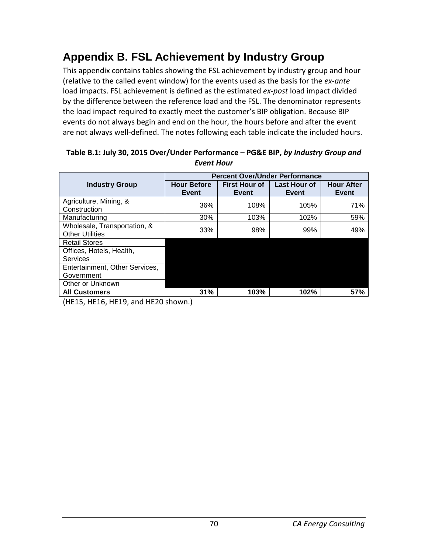# **Appendix B. FSL Achievement by Industry Group**

This appendix contains tables showing the FSL achievement by industry group and hour (relative to the called event window) for the events used as the basis for the *ex-ante* load impacts. FSL achievement is defined as the estimated *ex-post* load impact divided by the difference between the reference load and the FSL. The denominator represents the load impact required to exactly meet the customer's BIP obligation. Because BIP events do not always begin and end on the hour, the hours before and after the event are not always well-defined. The notes following each table indicate the included hours.

|                                                        | <b>Percent Over/Under Performance</b> |                               |                       |                            |
|--------------------------------------------------------|---------------------------------------|-------------------------------|-----------------------|----------------------------|
| <b>Industry Group</b>                                  | <b>Hour Before</b><br>Event           | <b>First Hour of</b><br>Event | Last Hour of<br>Event | <b>Hour After</b><br>Event |
| Agriculture, Mining, &<br>Construction                 | 36%                                   | 108%                          | 105%                  | 71%                        |
| Manufacturing                                          | 30%                                   | 103%                          | 102%                  | 59%                        |
| Wholesale, Transportation, &<br><b>Other Utilities</b> | 33%                                   | 98%                           | 99%                   | 49%                        |
| <b>Retail Stores</b>                                   |                                       |                               |                       |                            |
| Offices, Hotels, Health,                               |                                       |                               |                       |                            |
| Services                                               |                                       |                               |                       |                            |
| Entertainment, Other Services,                         |                                       |                               |                       |                            |
| Government                                             |                                       |                               |                       |                            |
| Other or Unknown                                       |                                       |                               |                       |                            |
| <b>All Customers</b>                                   | 31%                                   | 103%                          | 102%                  | 57%                        |

#### **Table B.1: July 30, 2015 Over/Under Performance – PG&E BIP,** *by Industry Group and Event Hour*

(HE15, HE16, HE19, and HE20 shown.)